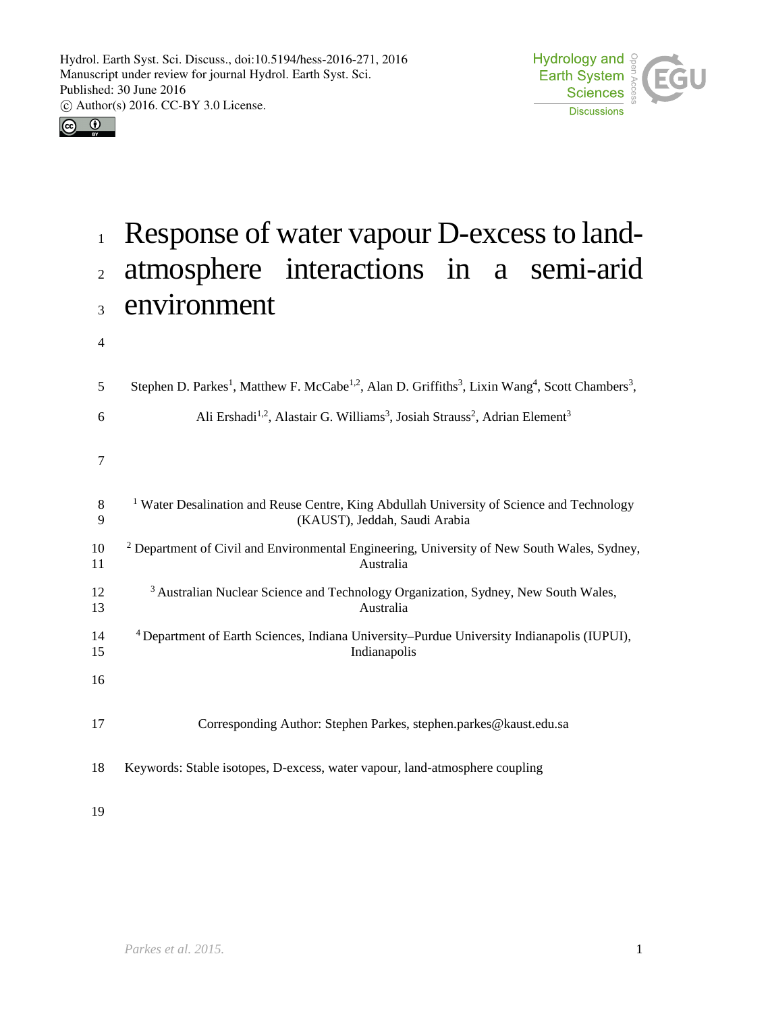



4

# <sup>1</sup> Response of water vapour D-excess to land-<sup>2</sup> atmosphere interactions in a semi-arid <sup>3</sup> environment

| 5        | Stephen D. Parkes <sup>1</sup> , Matthew F. McCabe <sup>1,2</sup> , Alan D. Griffiths <sup>3</sup> , Lixin Wang <sup>4</sup> , Scott Chambers <sup>3</sup> , |
|----------|--------------------------------------------------------------------------------------------------------------------------------------------------------------|
| 6        | Ali Ershadi <sup>1,2</sup> , Alastair G. Williams <sup>3</sup> , Josiah Strauss <sup>2</sup> , Adrian Element <sup>3</sup>                                   |
| 7        |                                                                                                                                                              |
| 8<br>9   | <sup>1</sup> Water Desalination and Reuse Centre, King Abdullah University of Science and Technology<br>(KAUST), Jeddah, Saudi Arabia                        |
| 10<br>11 | <sup>2</sup> Department of Civil and Environmental Engineering, University of New South Wales, Sydney,<br>Australia                                          |
| 12<br>13 | <sup>3</sup> Australian Nuclear Science and Technology Organization, Sydney, New South Wales,<br>Australia                                                   |
| 14<br>15 | <sup>4</sup> Department of Earth Sciences, Indiana University-Purdue University Indianapolis (IUPUI),<br>Indianapolis                                        |
| 16       |                                                                                                                                                              |
| 17       | Corresponding Author: Stephen Parkes, stephen.parkes@kaust.edu.sa                                                                                            |
| 18       | Keywords: Stable isotopes, D-excess, water vapour, land-atmosphere coupling                                                                                  |
| 19       |                                                                                                                                                              |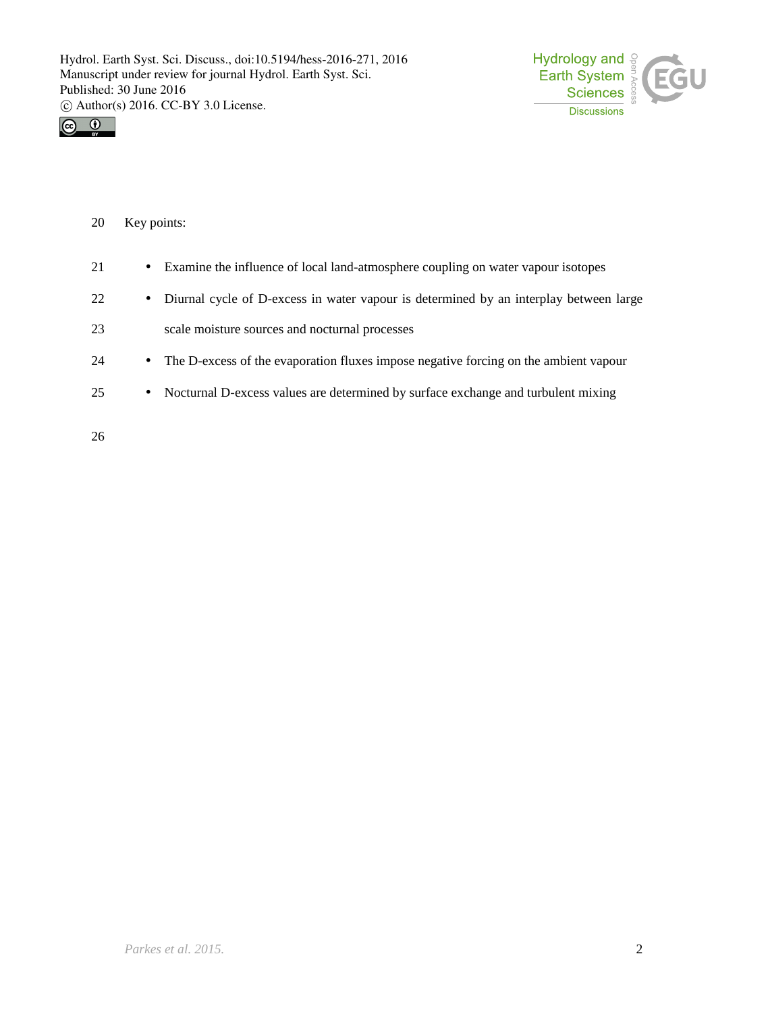



20 Key points:

| 21 | $\bullet$ | Examine the influence of local land-atmosphere coupling on water vapour isotopes      |
|----|-----------|---------------------------------------------------------------------------------------|
| 22 | $\bullet$ | Diurnal cycle of D-excess in water vapour is determined by an interplay between large |
| 23 |           | scale moisture sources and nocturnal processes                                        |
| 24 | $\bullet$ | The D-excess of the evaporation fluxes impose negative forcing on the ambient vapour  |
| 25 | $\bullet$ | Nocturnal D-excess values are determined by surface exchange and turbulent mixing     |
| 26 |           |                                                                                       |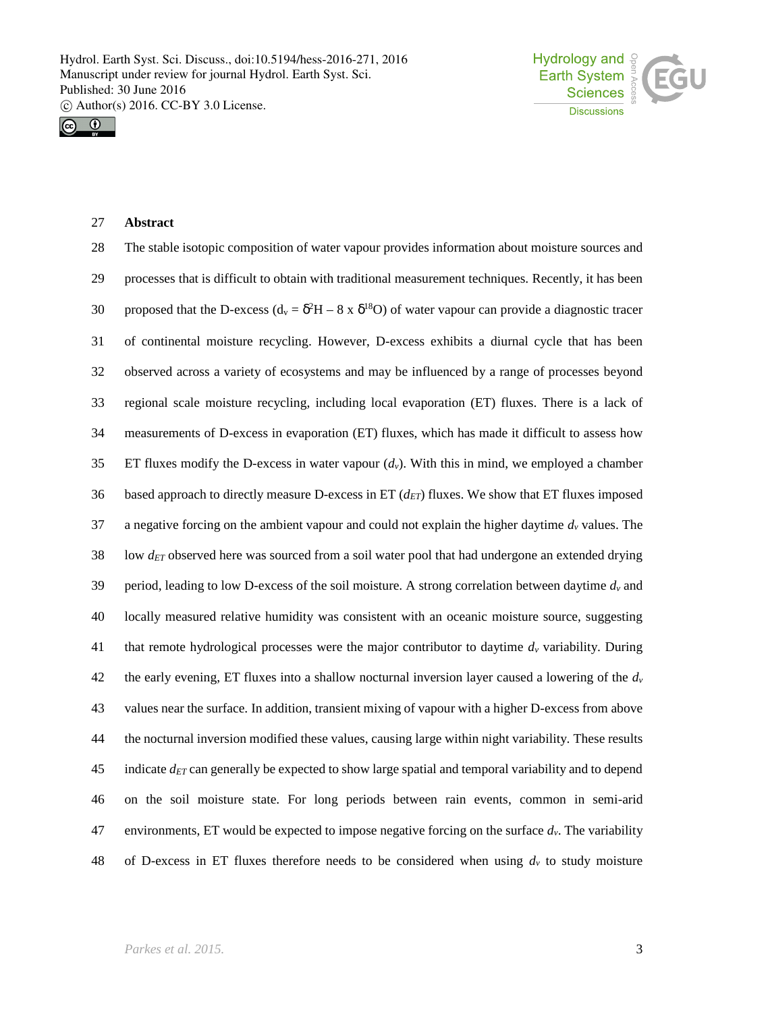



## **Abstract**

 The stable isotopic composition of water vapour provides information about moisture sources and processes that is difficult to obtain with traditional measurement techniques. Recently, it has been 30 proposed that the D-excess  $(d_v = \delta^2 H - 8 \times \delta^{18} O)$  of water vapour can provide a diagnostic tracer of continental moisture recycling. However, D-excess exhibits a diurnal cycle that has been observed across a variety of ecosystems and may be influenced by a range of processes beyond regional scale moisture recycling, including local evaporation (ET) fluxes. There is a lack of measurements of D-excess in evaporation (ET) fluxes, which has made it difficult to assess how 35 ET fluxes modify the D-excess in water vapour  $(d_v)$ . With this in mind, we employed a chamber based approach to directly measure D-excess in ET (*dET*) fluxes. We show that ET fluxes imposed a negative forcing on the ambient vapour and could not explain the higher daytime *d<sup>v</sup>* values. The low *dET* observed here was sourced from a soil water pool that had undergone an extended drying 39 period, leading to low D-excess of the soil moisture. A strong correlation between daytime  $d<sub>v</sub>$  and locally measured relative humidity was consistent with an oceanic moisture source, suggesting that remote hydrological processes were the major contributor to daytime *d<sup>v</sup>* variability. During 42 the early evening, ET fluxes into a shallow nocturnal inversion layer caused a lowering of the  $d<sub>v</sub>$  values near the surface. In addition, transient mixing of vapour with a higher D-excess from above the nocturnal inversion modified these values, causing large within night variability. These results indicate *dET* can generally be expected to show large spatial and temporal variability and to depend on the soil moisture state. For long periods between rain events, common in semi-arid environments, ET would be expected to impose negative forcing on the surface *dv*. The variability 48 of D-excess in ET fluxes therefore needs to be considered when using  $d<sub>v</sub>$  to study moisture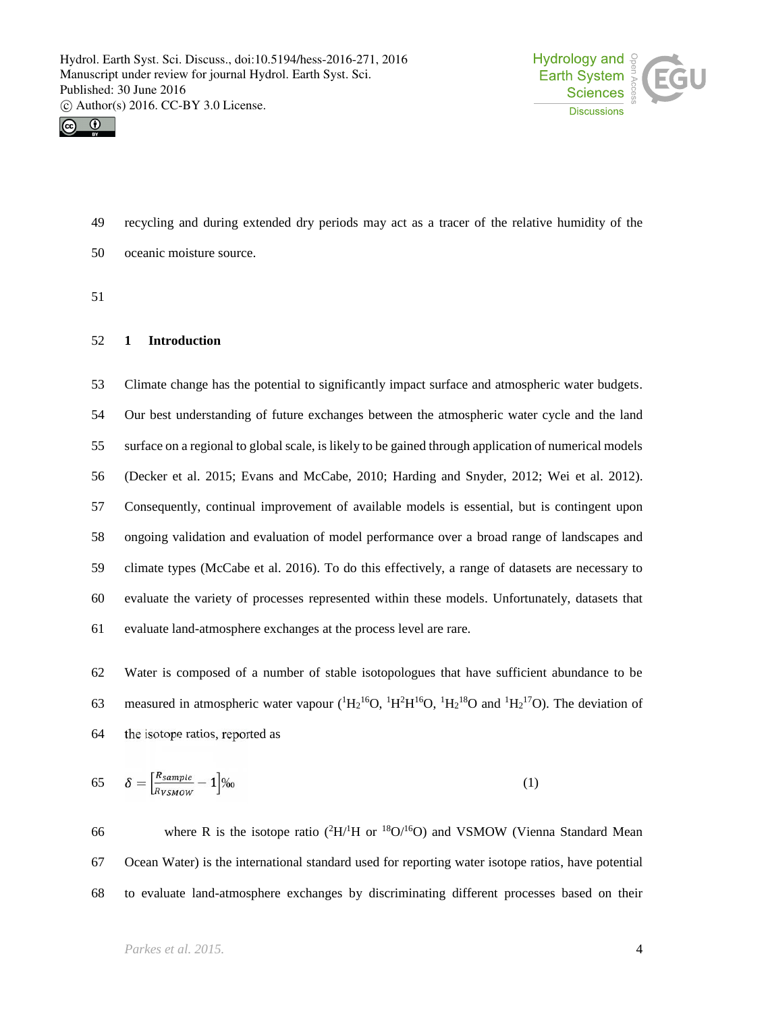



recycling and during extended dry periods may act as a tracer of the relative humidity of the

- oceanic moisture source.
- 

## **1 Introduction**

 Climate change has the potential to significantly impact surface and atmospheric water budgets. Our best understanding of future exchanges between the atmospheric water cycle and the land surface on a regional to global scale, is likely to be gained through application of numerical models (Decker et al. 2015; Evans and McCabe, 2010; Harding and Snyder, 2012; Wei et al. 2012). Consequently, continual improvement of available models is essential, but is contingent upon ongoing validation and evaluation of model performance over a broad range of landscapes and climate types (McCabe et al. 2016). To do this effectively, a range of datasets are necessary to evaluate the variety of processes represented within these models. Unfortunately, datasets that evaluate land-atmosphere exchanges at the process level are rare.

 Water is composed of a number of stable isotopologues that have sufficient abundance to be 63 measured in atmospheric water vapour  $({}^1H_2{}^{16}O, {}^1H^2H^{16}O, {}^1H_2{}^{18}O$  and  ${}^1H_2{}^{17}O$ ). The deviation of the isotope ratios, reported as

$$
65 \qquad \delta = \left[\frac{R_{sample}}{R_{VSMOW}} - 1\right]\%_0 \tag{1}
$$

66 where R is the isotope ratio  $(^{2}H/H$  or  $^{18}O^{16}O$ ) and VSMOW (Vienna Standard Mean Ocean Water) is the international standard used for reporting water isotope ratios, have potential to evaluate land-atmosphere exchanges by discriminating different processes based on their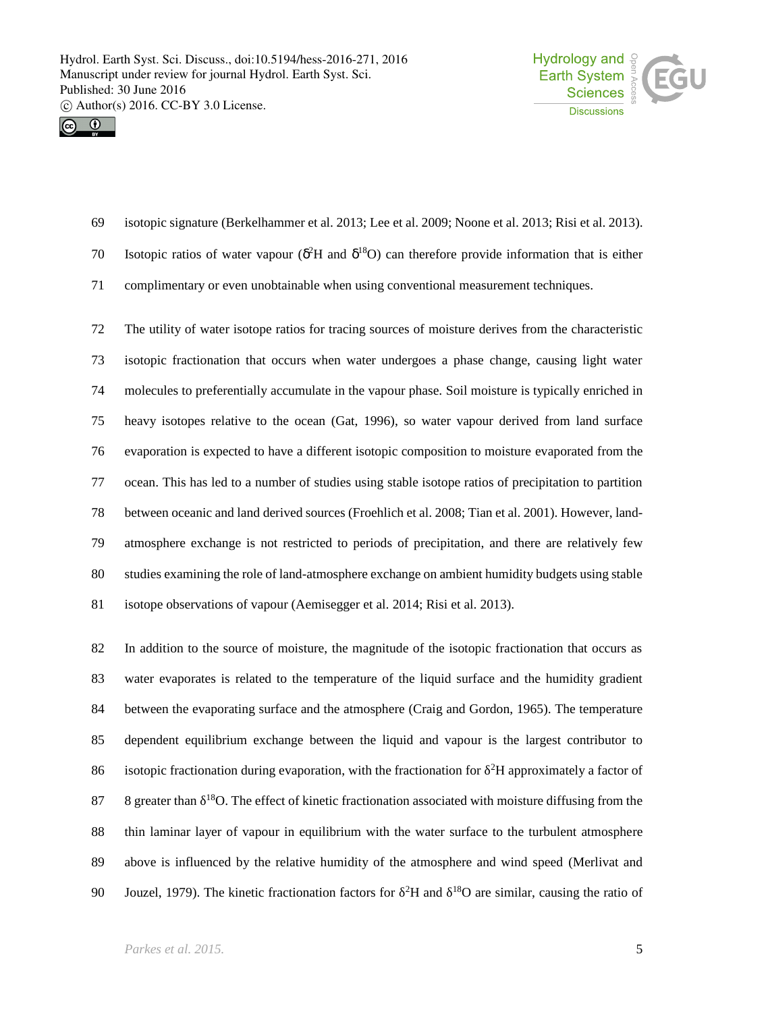



isotopic signature (Berkelhammer et al. 2013; Lee et al. 2009; Noone et al. 2013; Risi et al. 2013).

70 Isotopic ratios of water vapour ( $\delta^2$ H and  $\delta^{18}$ O) can therefore provide information that is either

complimentary or even unobtainable when using conventional measurement techniques.

 The utility of water isotope ratios for tracing sources of moisture derives from the characteristic isotopic fractionation that occurs when water undergoes a phase change, causing light water molecules to preferentially accumulate in the vapour phase. Soil moisture is typically enriched in heavy isotopes relative to the ocean (Gat, 1996), so water vapour derived from land surface evaporation is expected to have a different isotopic composition to moisture evaporated from the ocean. This has led to a number of studies using stable isotope ratios of precipitation to partition between oceanic and land derived sources (Froehlich et al.2008; Tian et al. 2001). However, land- atmosphere exchange is not restricted to periods of precipitation, and there are relatively few studies examining the role of land-atmosphere exchange on ambient humidity budgets using stable isotope observations of vapour (Aemisegger et al. 2014; Risi et al. 2013).

 In addition to the source of moisture, the magnitude of the isotopic fractionation that occurs as water evaporates is related to the temperature of the liquid surface and the humidity gradient between the evaporating surface and the atmosphere (Craig and Gordon, 1965). The temperature dependent equilibrium exchange between the liquid and vapour is the largest contributor to 86 isotopic fractionation during evaporation, with the fractionation for  ${}^{2}H$  approximately a factor of 87 8 greater than O. The effect of kinetic fractionation associated with moisture diffusing from the thin laminar layer of vapour in equilibrium with the water surface to the turbulent atmosphere above is influenced by the relative humidity of the atmosphere and wind speed (Merlivat and 90 Jouzel, 1979). The kinetic fractionation factors for  ${}^{2}$ H and  ${}^{18}$ O are similar, causing the ratio of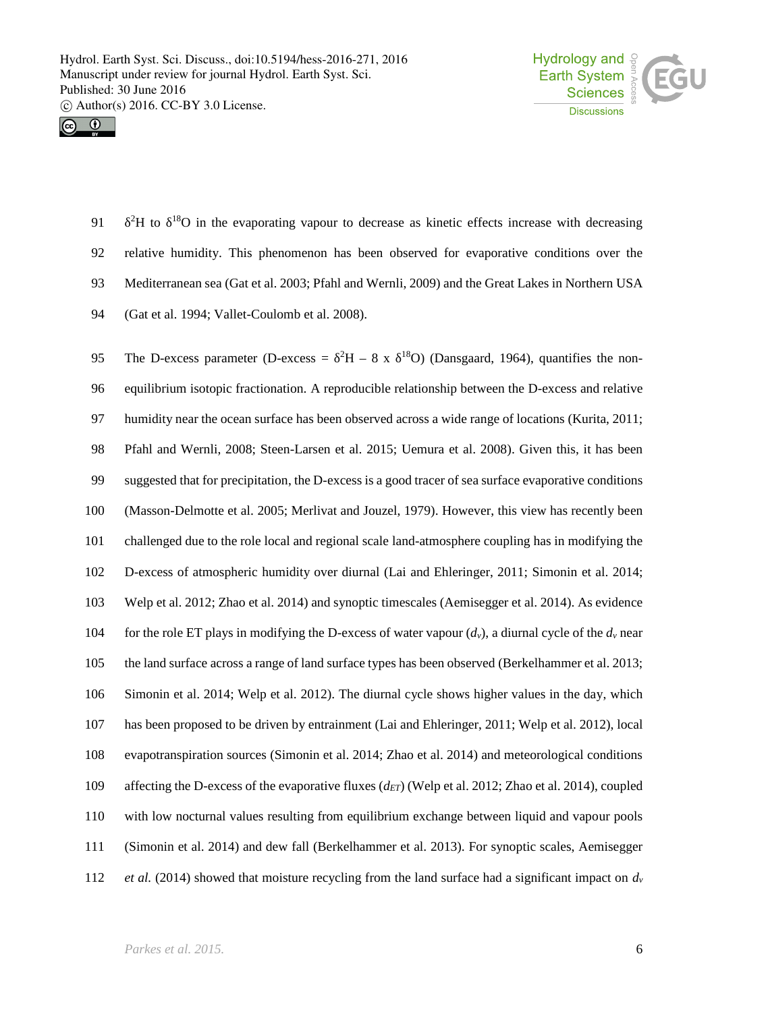



 $2H$  to  $18O$  in the evaporating vapour to decrease as kinetic effects increase with decreasing relative humidity. This phenomenon has been observed for evaporative conditions over the Mediterranean sea (Gat et al. 2003; Pfahl and Wernli, 2009) and the Great Lakes in Northern USA (Gat et al. 1994; Vallet-Coulomb et al.2008).

95 The D-excess parameter (D-excess =  ${}^{2}H - 8 \times {}^{18}O$ ) (Dansgaard, 1964), quantifies the non- equilibrium isotopic fractionation. A reproducible relationship between the D-excess and relative humidity near the ocean surface has been observed across a wide range of locations (Kurita, 2011; Pfahl and Wernli, 2008; Steen-Larsen et al. 2015; Uemura et al. 2008). Given this, it has been suggested that for precipitation, the D-excess is a good tracer of sea surface evaporative conditions (Masson-Delmotte et al. 2005; Merlivat and Jouzel, 1979). However, this view has recently been challenged due to the role local and regional scale land-atmosphere coupling has in modifying the D-excess of atmospheric humidity over diurnal (Lai and Ehleringer, 2011; Simonin et al. 2014; Welp et al.2012; Zhao et al.2014) and synoptic timescales (Aemisegger et al. 2014). As evidence 104 for the role ET plays in modifying the D-excess of water vapour  $(d_v)$ , a diurnal cycle of the  $d_v$  near the land surface across a range of land surface types has been observed (Berkelhammer et al. 2013; Simonin et al. 2014; Welp et al. 2012). The diurnal cycle shows higher values in the day, which has been proposed to be driven by entrainment (Lai and Ehleringer, 2011; Welp et al. 2012), local evapotranspiration sources (Simonin et al.2014; Zhao et al.2014) and meteorological conditions affecting the D-excess of the evaporative fluxes (*dET*) (Welp et al. 2012; Zhao et al. 2014), coupled with low nocturnal values resulting from equilibrium exchange between liquid and vapour pools (Simonin et al. 2014) and dew fall (Berkelhammer et al. 2013). For synoptic scales, Aemisegger *et al.* (2014) showed that moisture recycling from the land surface had a significant impact on *d<sup>v</sup>*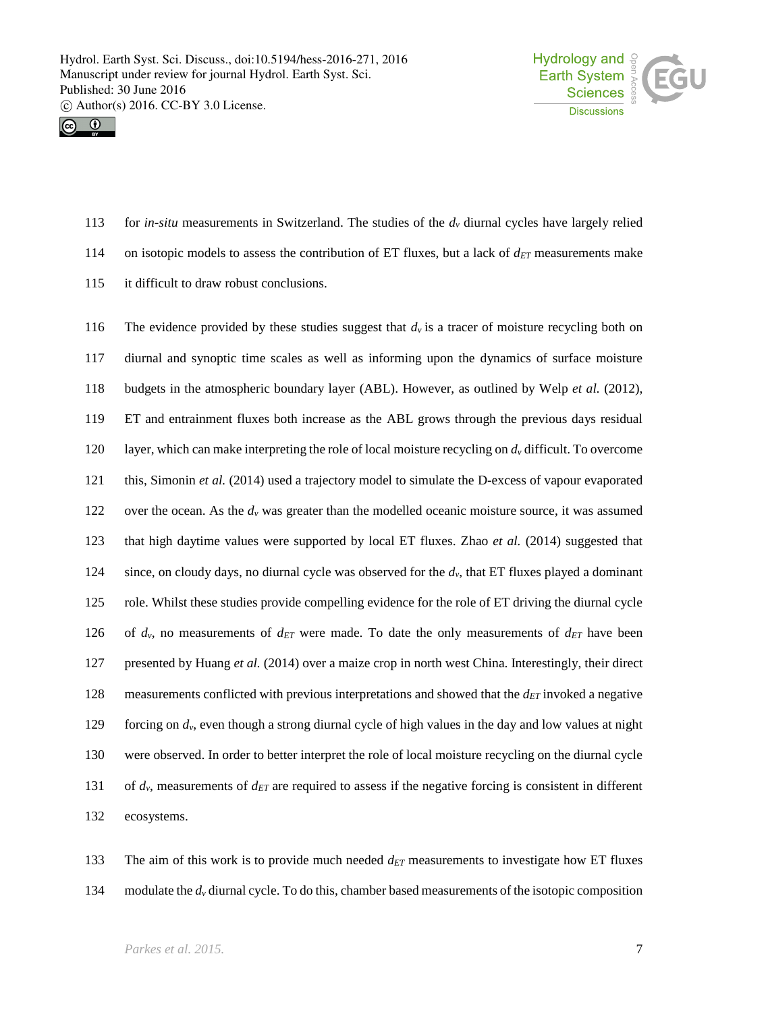



- for *in-situ* measurements in Switzerland. The studies of the *d<sup>v</sup>* diurnal cycles have largely relied
- 114 on isotopic models to assess the contribution of ET fluxes, but a lack of  $d_{ET}$  measurements make
- it difficult to draw robust conclusions.
- 116 The evidence provided by these studies suggest that  $d<sub>y</sub>$  is a tracer of moisture recycling both on diurnal and synoptic time scales as well as informing upon the dynamics of surface moisture budgets in the atmospheric boundary layer (ABL). However, as outlined by Welp *et al.* (2012), ET and entrainment fluxes both increase as the ABL grows through the previous days residual layer, which can make interpreting the role of local moisture recycling on *d<sup>v</sup>* difficult. To overcome this, Simonin *et al.*(2014) used a trajectory model to simulate the D-excess of vapour evaporated over the ocean. As the *d<sup>v</sup>* was greater than the modelled oceanic moisture source, it was assumed that high daytime values were supported by local ET fluxes. Zhao *et al.* (2014) suggested that since, on cloudy days, no diurnal cycle was observed for the *dv*, that ET fluxes played a dominant role. Whilst these studies provide compelling evidence for the role of ET driving the diurnal cycle of *dv*, no measurements of *dET* were made. To date the only measurements of *dET* have been presented by Huang *et al.*(2014) over a maize crop in north west China. Interestingly, their direct measurements conflicted with previous interpretations and showed that the *dET* invoked a negative forcing on *dv*, even though a strong diurnal cycle of high values in the day and low values at night were observed. In order to better interpret the role of local moisture recycling on the diurnal cycle 131 of  $d_v$ , measurements of  $d_{ET}$  are required to assess if the negative forcing is consistent in different ecosystems.
- The aim of this work isto provide much needed *dET* measurements to investigate how ET fluxes 134 modulate the  $d<sub>y</sub>$  diurnal cycle. To do this, chamber based measurements of the isotopic composition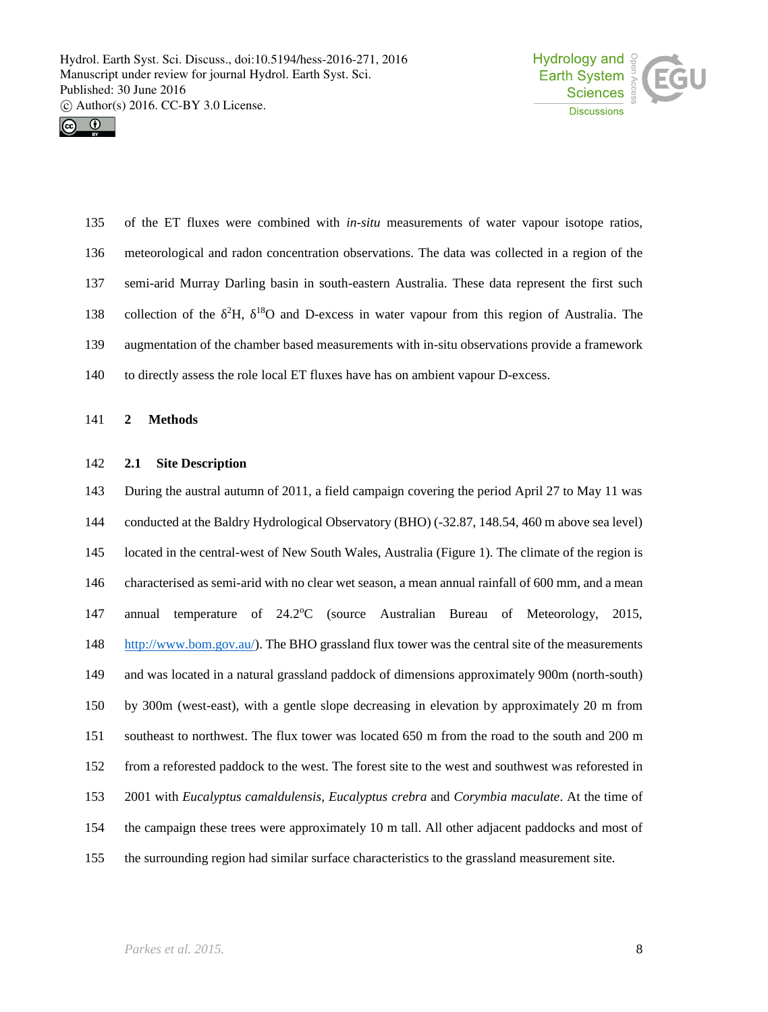



 of the ET fluxes were combined with *in-situ* measurements of water vapour isotope ratios, meteorological and radon concentration observations. The data was collected in a region of the semi-arid Murray Darling basin in south-eastern Australia. These data represent the first such 138 collection of the  ${}^{2}H$ ,  ${}^{18}O$  and D-excess in water vapour from this region of Australia. The augmentation of the chamber based measurements with in-situ observations provide a framework to directly assess the role local ET fluxes have has on ambient vapour D-excess.

#### **2 Methods**

## **2.1 Site Description**

 During the austral autumn of 2011, a field campaign covering the period April 27 to May 11 was conducted at the Baldry Hydrological Observatory (BHO) (-32.87, 148.54, 460 m above sea level) located in the central-west of New South Wales, Australia (Figure 1). The climate of the region is characterised as semi-arid with no clear wet season, a mean annual rainfall of 600 mm, and a mean 147 annual temperature of 24.2°C (source Australian Bureau of Meteorology, 2015, http://www.bom.gov.au/). The BHO grassland flux tower was the central site of the measurements and was located in a natural grassland paddock of dimensions approximately 900m (north-south) by 300m (west-east), with a gentle slope decreasing in elevation by approximately 20 m from southeast to northwest. The flux tower was located 650 m from the road to the south and 200 m from a reforested paddock to the west. The forest site to the west and southwest was reforested in 2001 with *Eucalyptus camaldulensis*, *Eucalyptus crebra* and *Corymbia maculate*. At the time of the campaign these trees were approximately 10 m tall. All other adjacent paddocks and most of the surrounding region had similar surface characteristics to the grassland measurement site.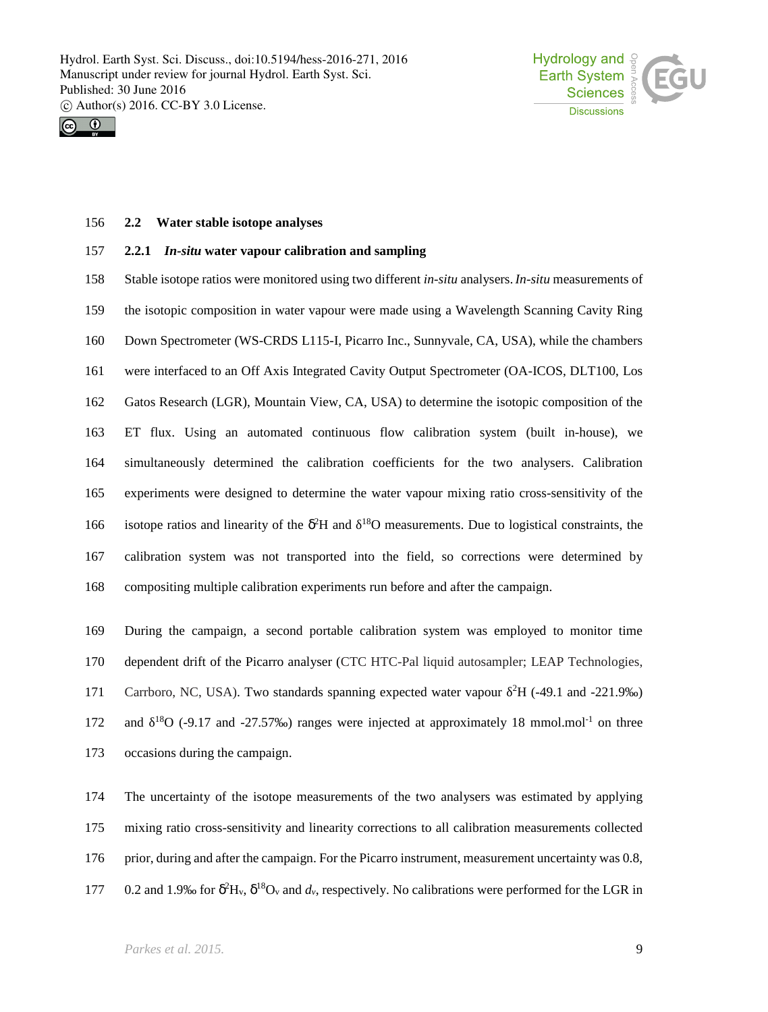



#### **2.2 Water stable isotope analyses**

## **2.2.1** *In-situ* **water vapour calibration and sampling**

 Stable isotope ratios were monitored using two different *in-situ* analysers.*In-situ* measurements of the isotopic composition in water vapour were made using a Wavelength Scanning Cavity Ring Down Spectrometer (WS-CRDS L115-I, Picarro Inc., Sunnyvale, CA, USA), while the chambers were interfaced to an Off Axis Integrated Cavity Output Spectrometer (OA-ICOS, DLT100, Los Gatos Research (LGR), Mountain View, CA, USA) to determine the isotopic composition of the ET flux. Using an automated continuous flow calibration system (built in-house), we simultaneously determined the calibration coefficients for the two analysers. Calibration experiments were designed to determine the water vapour mixing ratio cross-sensitivity of the 166 isotope ratios and linearity of the  $\delta^2$ H and <sup>18</sup>O measurements. Due to logistical constraints, the calibration system was not transported into the field, so corrections were determined by compositing multiple calibration experiments run before and after the campaign.

 During the campaign, a second portable calibration system was employed to monitor time dependent drift of the Picarro analyser (CTC HTC-Pal liquid autosampler; LEAP Technologies, 171 Carrboro, NC, USA). Two standards spanning expected water vapour  ${}^{2}H$  (-49.1 and -221.9‰) 172 and  $^{18}$ O (-9.17 and -27.57‰) ranges were injected at approximately 18 mmol.mol<sup>-1</sup> on three occasions during the campaign.

 The uncertainty of the isotope measurements of the two analysers was estimated by applying mixing ratio cross-sensitivity and linearity corrections to all calibration measurements collected prior, during and after the campaign. For the Picarro instrument, measurement uncertainty was 0.8, 177 0.2 and 1.9‰ for  $\delta^2$ H<sub>v</sub>,  $\delta^{18}$ O<sub>v</sub> and  $d_v$ , respectively. No calibrations were performed for the LGR in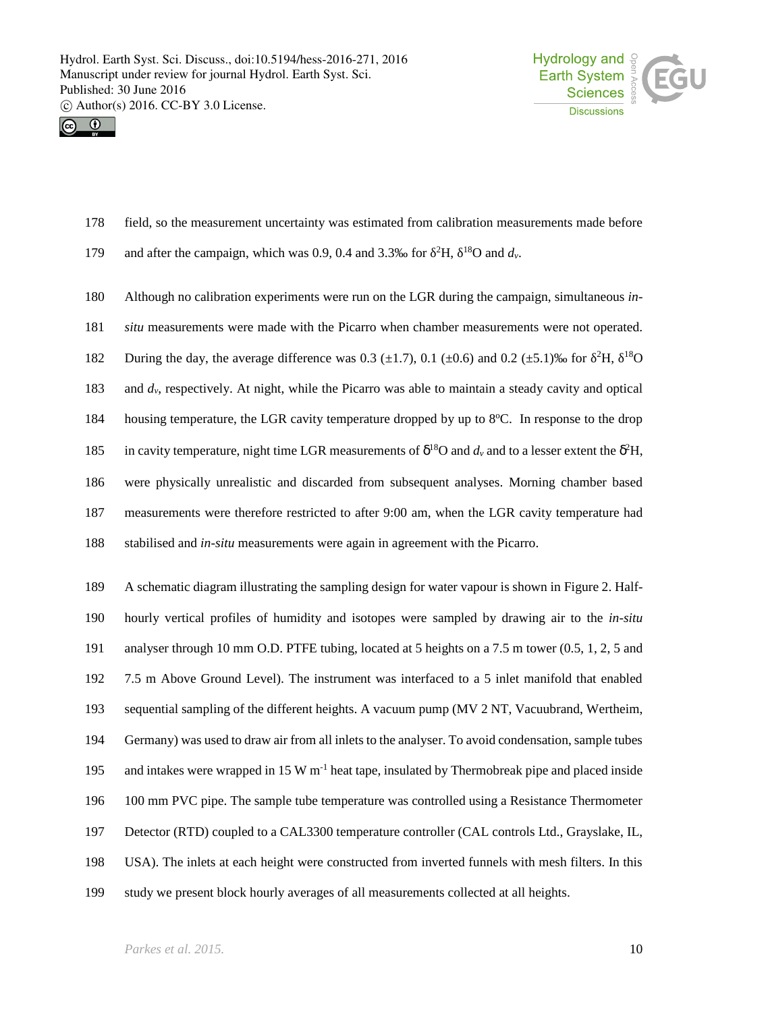



- field, so the measurement uncertainty was estimated from calibration measurements made before
- 179 and after the campaign, which was 0.9, 0.4 and 3.3‰ for  ${}^{2}H$ ,  ${}^{18}O$  and  $d<sub>v</sub>$ .
- Although no calibration experiments were run on the LGR during the campaign, simultaneous *in- situ* measurements were made with the Picarro when chamber measurements were not operated. 182 During the day, the average difference was 0.3 ( $\pm$ 1.7), 0.1 ( $\pm$ 0.6) and 0.2 ( $\pm$ 5.1)‰ for <sup>2</sup>H, <sup>18</sup>O and *dv*, respectively. At night, while the Picarro was able to maintain a steady cavity and optical 184 housing temperature, the LGR cavity temperature dropped by up to 8°C. In response to the drop 185 in cavity temperature, night time LGR measurements of  $\delta^{18}$ O and  $d<sub>v</sub>$  and to a lesser extent the  $\delta^2$ H, were physically unrealistic and discarded from subsequent analyses. Morning chamber based measurements were therefore restricted to after 9:00 am, when the LGR cavity temperature had stabilised and *in-situ* measurements were again in agreement with the Picarro.
- A schematic diagram illustrating the sampling design for water vapour is shown in Figure 2. Half- hourly vertical profiles of humidity and isotopes were sampled by drawing air to the *in-situ* analyser through 10 mm O.D. PTFE tubing, located at 5 heights on a 7.5 m tower (0.5, 1, 2, 5 and 7.5 m Above Ground Level). The instrument was interfaced to a 5 inlet manifold that enabled sequential sampling of the different heights. A vacuum pump (MV 2 NT, Vacuubrand, Wertheim, Germany) was used to draw air from all inlets to the analyser. To avoid condensation, sample tubes 195 and intakes were wrapped in 15 W  $m^{-1}$  heat tape, insulated by Thermobreak pipe and placed inside 100 mm PVC pipe. The sample tube temperature was controlled using a Resistance Thermometer Detector (RTD) coupled to a CAL3300 temperature controller (CAL controls Ltd., Grayslake, IL, USA). The inlets at each height were constructed from inverted funnels with mesh filters. In this study we present block hourly averages of all measurements collected at all heights.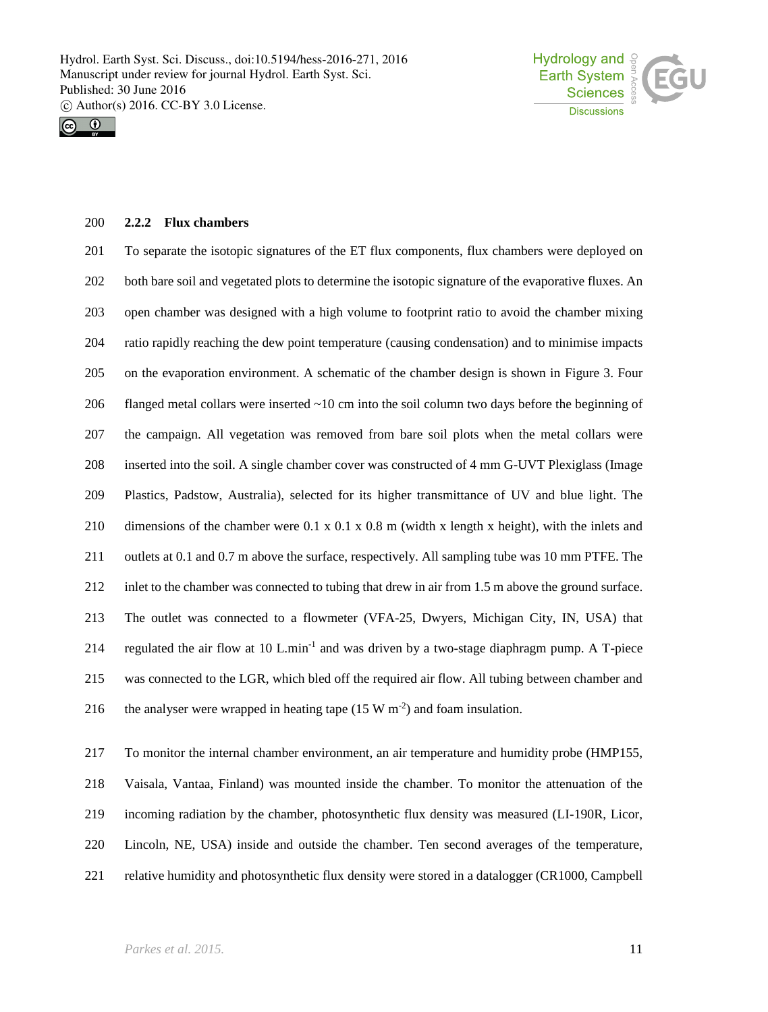



#### **2.2.2 Flux chambers**

 To separate the isotopic signatures of the ET flux components, flux chambers were deployed on both bare soil and vegetated plots to determine the isotopic signature of the evaporative fluxes. An open chamber was designed with a high volume to footprint ratio to avoid the chamber mixing ratio rapidly reaching the dew point temperature (causing condensation) and to minimise impacts on the evaporation environment. A schematic of the chamber design is shown in Figure 3. Four flanged metal collars were inserted ~10 cm into the soil column two days before the beginning of the campaign. All vegetation was removed from bare soil plots when the metal collars were inserted into the soil. A single chamber cover was constructed of 4 mm G-UVT Plexiglass (Image Plastics, Padstow, Australia), selected for its higher transmittance of UV and blue light. The dimensions of the chamber were 0.1 x 0.1 x 0.8 m (width x length x height), with the inlets and outlets at 0.1 and 0.7 m above the surface, respectively. All sampling tube was 10 mm PTFE. The inlet to the chamber was connected to tubing that drew in air from 1.5 m above the ground surface. The outlet was connected to a flowmeter (VFA-25, Dwyers, Michigan City, IN, USA) that 214 regulated the air flow at 10 L.min<sup>-1</sup> and was driven by a two-stage diaphragm pump. A T-piece was connected to the LGR, which bled off the required air flow. All tubing between chamber and 216 the analyser were wrapped in heating tape (15 W  $\text{m}^{-2}$ ) and foam insulation.

 To monitor the internal chamber environment, an air temperature and humidity probe (HMP155, Vaisala, Vantaa, Finland) was mounted inside the chamber. To monitor the attenuation of the incoming radiation by the chamber, photosynthetic flux density was measured (LI-190R, Licor, Lincoln, NE, USA) inside and outside the chamber. Ten second averages of the temperature, relative humidity and photosynthetic flux density were stored in a datalogger (CR1000, Campbell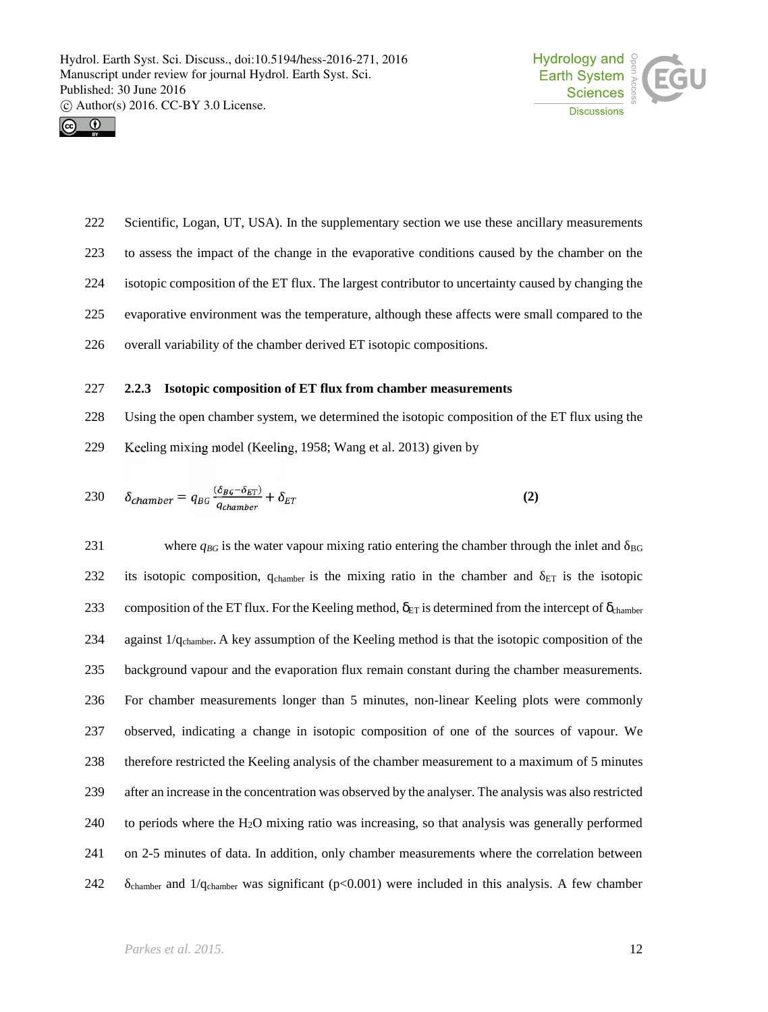



- Scientific, Logan, UT, USA). In the supplementary section we use these ancillary measurements
- to assess the impact of the change in the evaporative conditions caused by the chamber on the
- isotopic composition of the ET flux. The largest contributor to uncertainty caused by changing the
- evaporative environment was the temperature, although these affects were small compared to the
- overall variability of the chamber derived ET isotopic compositions.

## **2.2.3 Isotopic composition of ET flux from chamber measurements**

Using the open chamber system, we determined the isotopic composition of the ET flux using the

Keeling mixing model (Keeling, 1958; Wang et al.2013) given by

$$
230 \t \delta_{chamber} = q_{BG} \frac{(\delta_{BG} - \delta_{ET})}{q_{chamber}} + \delta_{ET}
$$
 (2)

231 where  $q_{BG}$  is the water vapour mixing ratio entering the chamber through the inlet and  $_{BG}$ 232 its isotopic composition,  $q_{chamber}$  is the mixing ratio in the chamber and  $E_T$  is the isotopic 233 composition of the ET flux. For the Keeling method,  $\delta_{ET}$  is determined from the intercept of  $\delta_{\text{chamber}}$  against 1/qchamber. A key assumption of the Keeling method is that the isotopic composition of the background vapour and the evaporation flux remain constant during the chamber measurements. For chamber measurements longer than 5 minutes, non-linear Keeling plots were commonly observed, indicating a change in isotopic composition of one of the sources of vapour. We therefore restricted the Keeling analysis of the chamber measurement to a maximum of 5 minutes after an increase in the concentration was observed by the analyser. The analysis was also restricted to periods where the H2O mixing ratio was increasing, so that analysis was generally performed on 2-5 minutes of data. In addition, only chamber measurements where the correlation between chamber and 1/qchamber was significant (p<0.001) were included in this analysis. A few chamber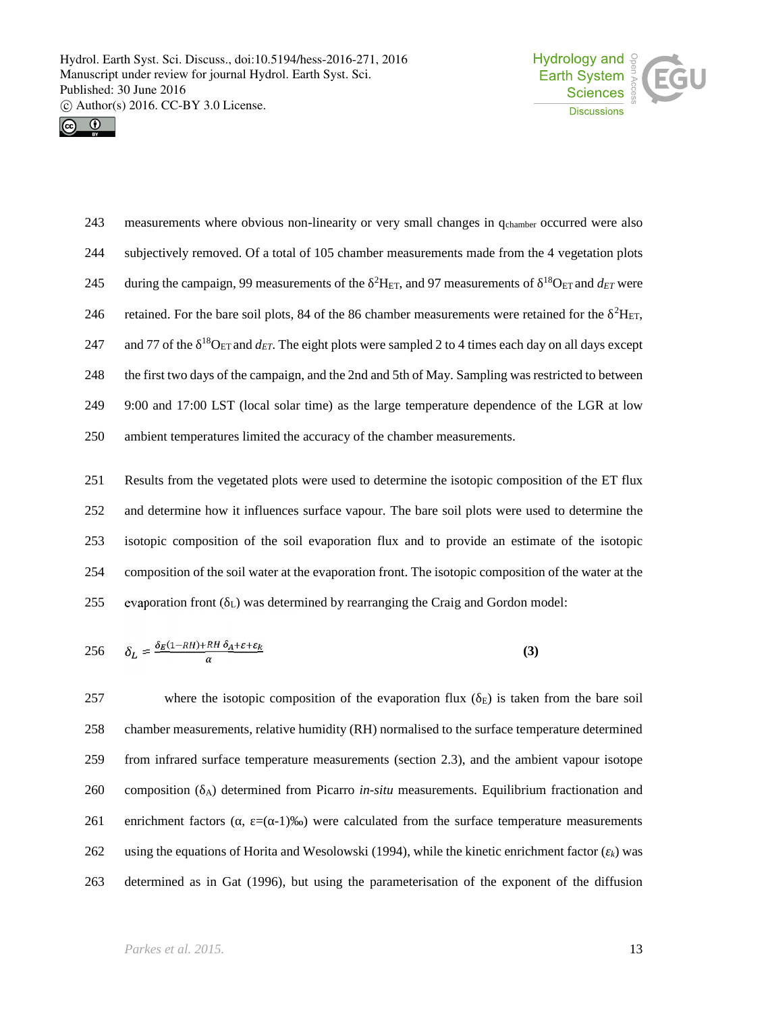



243 measurements where obvious non-linearity or very small changes in q<sub>chamber</sub> occurred were also 244 subjectively removed. Of a total of 105 chamber measurements made from the 4 vegetation plots during the campaign, 99 measurements of the <sup>2</sup>H<sub>ET</sub>, and 97 measurements of <sup>18</sup>O<sub>ET</sub> and *d<sub>ET</sub>* were 246 retained. For the bare soil plots, 84 of the 86 chamber measurements were retained for the  ${}^{2}$ H<sub>ET</sub>, 247 and 77 of the <sup>18</sup>O<sub>ET</sub> and  $d_{ET}$ . The eight plots were sampled 2 to 4 times each day on all days except 248 the first two days of the campaign, and the 2nd and 5th of May. Sampling was restricted to between 249 9:00 and 17:00 LST (local solar time) as the large temperature dependence of the LGR at low 250 ambient temperatures limited the accuracy of the chamber measurements.

 Results from the vegetated plots were used to determine the isotopic composition of the ET flux and determine how it influences surface vapour. The bare soil plots were used to determine the isotopic composition of the soil evaporation flux and to provide an estimate of the isotopic composition of the soil water at the evaporation front. The isotopic composition of the water at the 255 evaporation front  $\begin{pmatrix} 0 \\ 1 \end{pmatrix}$  was determined by rearranging the Craig and Gordon model:

$$
256 \t\t \delta_L = \frac{\delta_E (1 - RH) + RH \, \delta_A + \varepsilon + \varepsilon_k}{\alpha} \tag{3}
$$

257 where the isotopic composition of the evaporation flux  $(\epsilon)$  is taken from the bare soil 258 chamber measurements, relative humidity (RH) normalised to the surface temperature determined 259 from infrared surface temperature measurements (section 2.3), and the ambient vapour isotope 260 composition (δA) determined from Picarro *in-situ* measurements. Equilibrium fractionation and 261 enrichment factors  $( , =(-1)\%)$  were calculated from the surface temperature measurements 262 using the equations of Horita and Wesolowski (1994), while the kinetic enrichment factor ( *<sup>k</sup>*) was 263 determined as in Gat (1996), but using the parameterisation of the exponent of the diffusion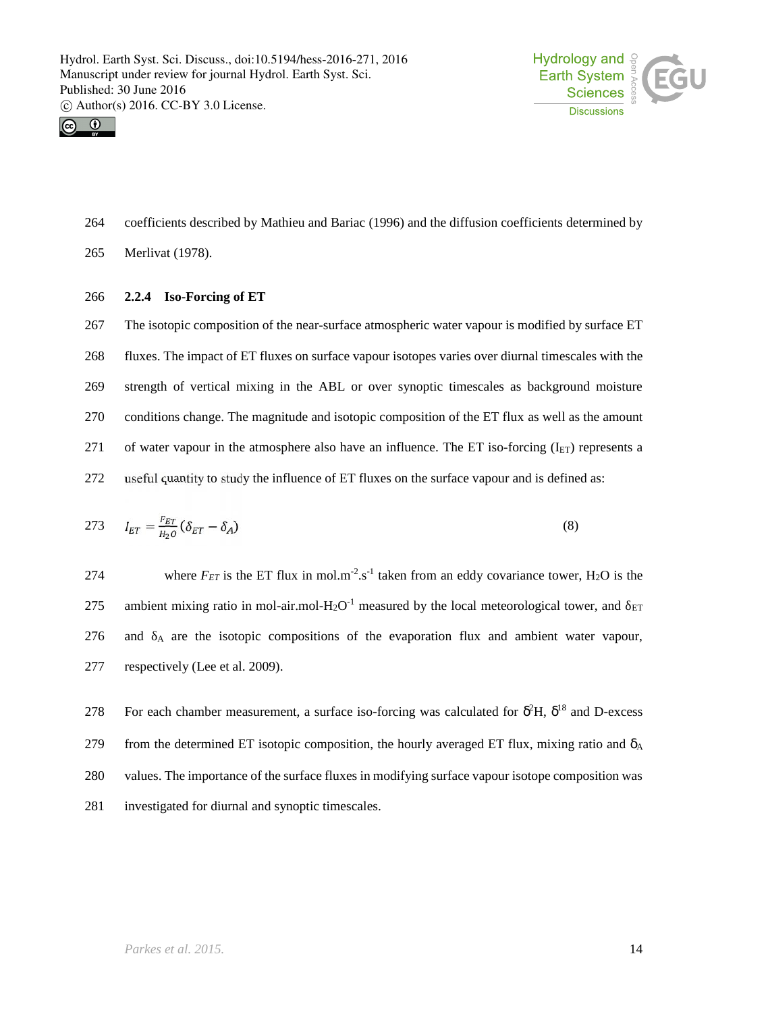



264 coefficients described by Mathieu and Bariac (1996) and the diffusion coefficients determined by

265 Merlivat (1978).

## 266 **2.2.4 Iso-Forcing of ET**

 The isotopic composition of the near-surface atmospheric water vapour is modified by surface ET fluxes. The impact of ET fluxes on surface vapour isotopes varies over diurnal timescales with the strength of vertical mixing in the ABL or over synoptic timescales as background moisture conditions change. The magnitude and isotopic composition of the ET flux as well as the amount 271 of water vapour in the atmosphere also have an influence. The ET iso-forcing  $(I_{ET})$  represents a useful quantity to study the influence of ET fluxes on the surface vapour and is defined as:

$$
I_{ET} = \frac{F_{ET}}{H_2 O} \left( \delta_{ET} - \delta_A \right) \tag{8}
$$

274 where  $F_{ET}$  is the ET flux in mol.m<sup>-2</sup>.s<sup>-1</sup> taken from an eddy covariance tower, H<sub>2</sub>O is the 275 ambient mixing ratio in mol-air.mol-H<sub>2</sub>O<sup>-1</sup> measured by the local meteorological tower, and  $_{ET}$ 276 and  $\Delta$  are the isotopic compositions of the evaporation flux and ambient water vapour, 277 respectively (Lee et al. 2009).

278 For each chamber measurement, a surface iso-forcing was calculated for  $\delta^2 H$ ,  $\delta^{18}$  and D-excess 279 from the determined ET isotopic composition, the hourly averaged ET flux, mixing ratio and  $\delta_A$ 280 values. The importance of the surface fluxes in modifying surface vapour isotope composition was 281 investigated for diurnal and synoptic timescales.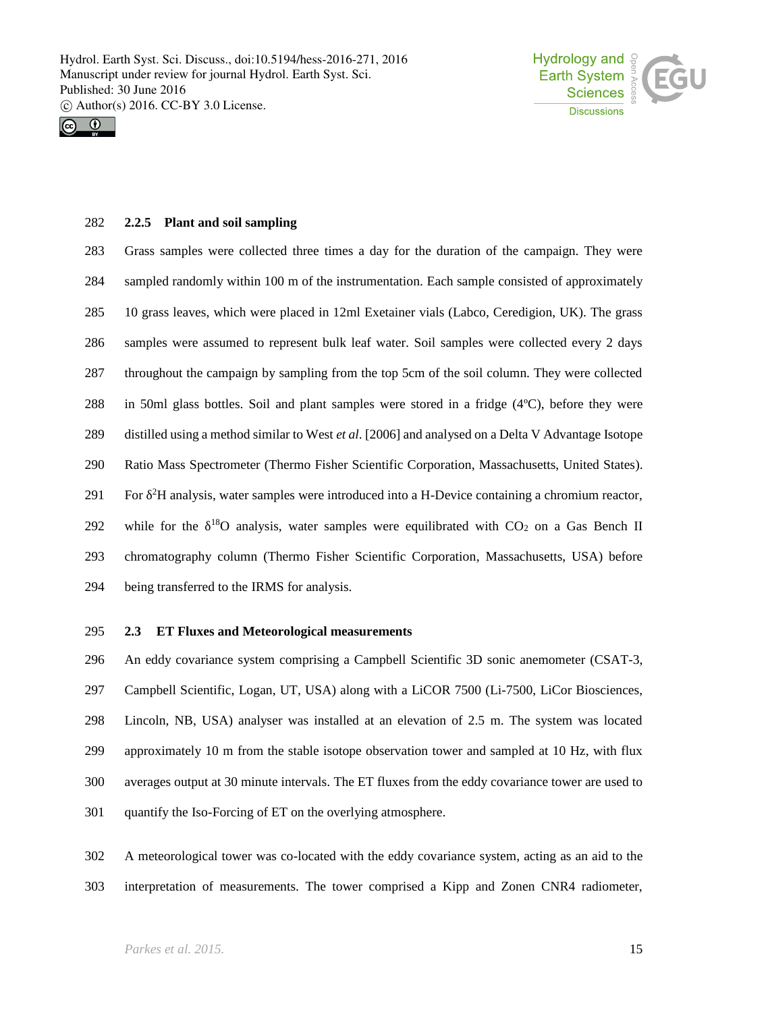



#### **2.2.5 Plant and soil sampling**

 Grass samples were collected three times a day for the duration of the campaign. They were sampled randomly within 100 m of the instrumentation. Each sample consisted of approximately 10 grass leaves, which were placed in 12ml Exetainer vials (Labco, Ceredigion, UK). The grass samples were assumed to represent bulk leaf water. Soil samples were collected every 2 days throughout the campaign by sampling from the top 5cm of the soil column. They were collected in 50ml glass bottles. Soil and plant samples were stored in a fridge (4ºC), before they were distilled using a method similar to West *et al*. [2006] and analysed on a Delta V Advantage Isotope Ratio Mass Spectrometer (Thermo Fisher Scientific Corporation, Massachusetts, United States). 291 For <sup>2</sup>H analysis, water samples were introduced into a H-Device containing a chromium reactor, 292 while for the <sup>18</sup>O analysis, water samples were equilibrated with  $CO<sub>2</sub>$  on a Gas Bench II chromatography column (Thermo Fisher Scientific Corporation, Massachusetts, USA) before being transferred to the IRMS for analysis.

## **2.3 ET Fluxes and Meteorological measurements**

 An eddy covariance system comprising a Campbell Scientific 3D sonic anemometer (CSAT-3, Campbell Scientific, Logan, UT, USA) along with a LiCOR 7500 (Li-7500, LiCor Biosciences, Lincoln, NB, USA) analyser was installed at an elevation of 2.5 m. The system was located approximately 10 m from the stable isotope observation tower and sampled at 10 Hz, with flux averages output at 30 minute intervals. The ET fluxes from the eddy covariance tower are used to quantify the Iso-Forcing of ET on the overlying atmosphere.

 A meteorological tower was co-located with the eddy covariance system, acting as an aid to the interpretation of measurements. The tower comprised a Kipp and Zonen CNR4 radiometer,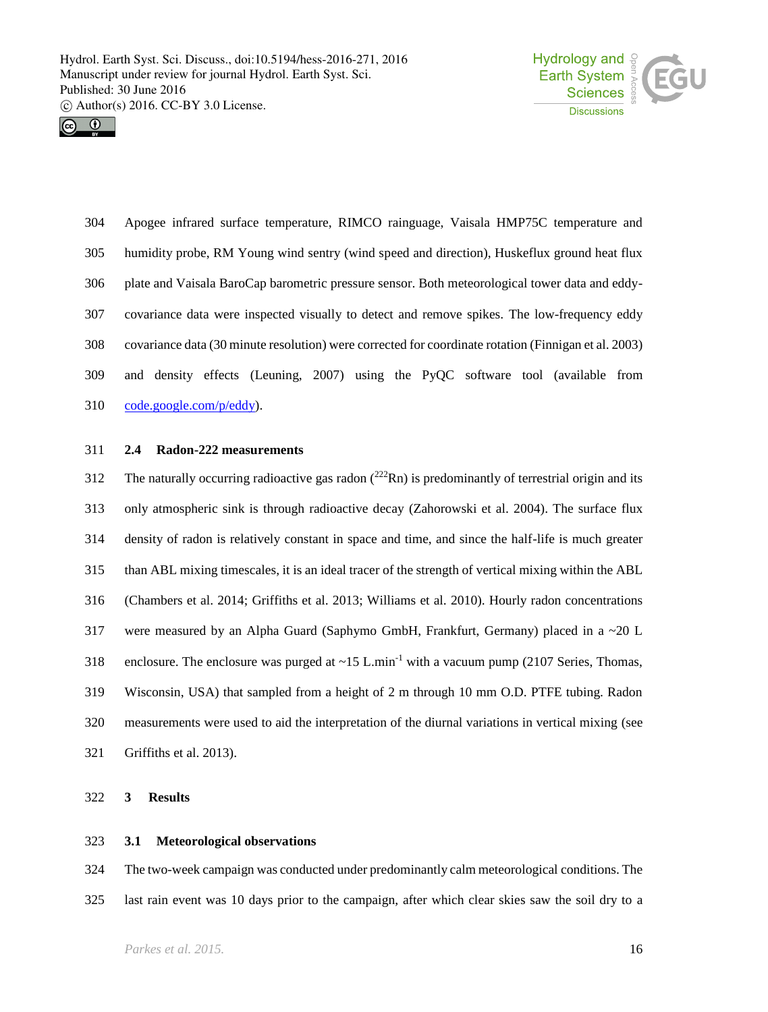



 Apogee infrared surface temperature, RIMCO rainguage, Vaisala HMP75C temperature and humidity probe, RM Young wind sentry (wind speed and direction), Huskeflux ground heat flux plate and Vaisala BaroCap barometric pressure sensor. Both meteorological tower data and eddy- covariance data were inspected visually to detect and remove spikes. The low-frequency eddy covariance data (30 minute resolution) were corrected for coordinate rotation (Finnigan et al. 2003) and density effects (Leuning, 2007) using the PyQC software tool (available from code.google.com/p/eddy).

**2.4 Radon-222 measurements**

The naturally occurring radioactive gas radon  $(^{222}Rn)$  is predominantly of terrestrial origin and its only atmospheric sink is through radioactive decay (Zahorowski et al. 2004). The surface flux density of radon is relatively constant in space and time, and since the half-life is much greater than ABL mixing timescales, it is an ideal tracer of the strength of vertical mixing within the ABL (Chambers et al. 2014; Griffiths et al. 2013; Williams et al. 2010). Hourly radon concentrations 317 were measured by an Alpha Guard (Saphymo GmbH, Frankfurt, Germany) placed in a  $\sim$ 20 L 318 enclosure. The enclosure was purged at  $\sim$  15 L.min<sup>-1</sup> with a vacuum pump (2107 Series, Thomas, Wisconsin, USA) that sampled from a height of 2 m through 10 mm O.D. PTFE tubing. Radon measurements were used to aid the interpretation of the diurnal variations in vertical mixing (see Griffiths et al. 2013).

**3 Results**

#### **3.1 Meteorological observations**

 The two-week campaign was conducted under predominantly calm meteorological conditions. The last rain event was 10 days prior to the campaign, after which clear skies saw the soil dry to a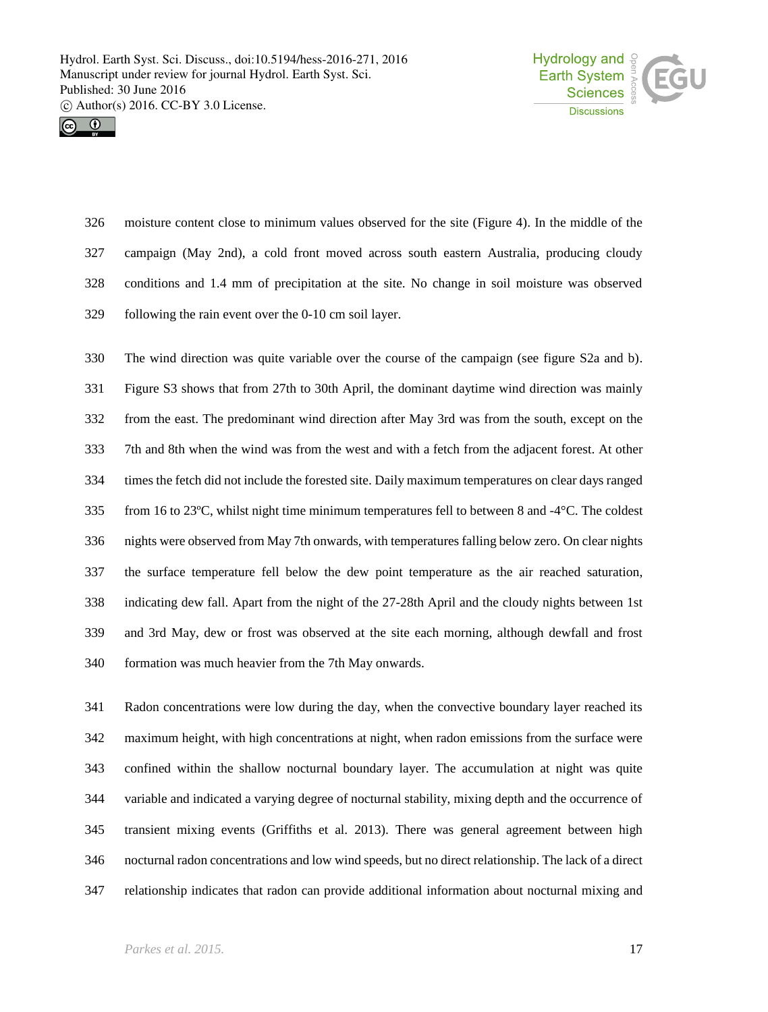



 moisture content close to minimum values observed for the site (Figure 4). In the middle of the campaign (May 2nd), a cold front moved across south eastern Australia, producing cloudy conditions and 1.4 mm of precipitation at the site. No change in soil moisture was observed following the rain event over the 0-10 cm soil layer.

 The wind direction was quite variable over the course of the campaign (see figure S2a and b). Figure S3 shows that from 27th to 30th April, the dominant daytime wind direction was mainly from the east. The predominant wind direction after May 3rd was from the south, except on the 7th and 8th when the wind was from the west and with a fetch from the adjacent forest. At other times the fetch did not include the forested site. Daily maximum temperatures on clear days ranged from 16 to 23ºC, whilst night time minimum temperatures fell to between 8 and -4°C. The coldest nights were observed from May 7th onwards, with temperatures falling below zero. On clear nights the surface temperature fell below the dew point temperature as the air reached saturation, indicating dew fall. Apart from the night of the 27-28th April and the cloudy nights between 1st and 3rd May, dew or frost was observed at the site each morning, although dewfall and frost formation was much heavier from the 7th May onwards.

 Radon concentrations were low during the day, when the convective boundary layer reached its maximum height, with high concentrations at night, when radon emissions from the surface were confined within the shallow nocturnal boundary layer. The accumulation at night was quite variable and indicated a varying degree of nocturnal stability, mixing depth and the occurrence of transient mixing events (Griffiths et al. 2013). There was general agreement between high nocturnal radon concentrations and low wind speeds, but no direct relationship. The lack of a direct relationship indicates that radon can provide additional information about nocturnal mixing and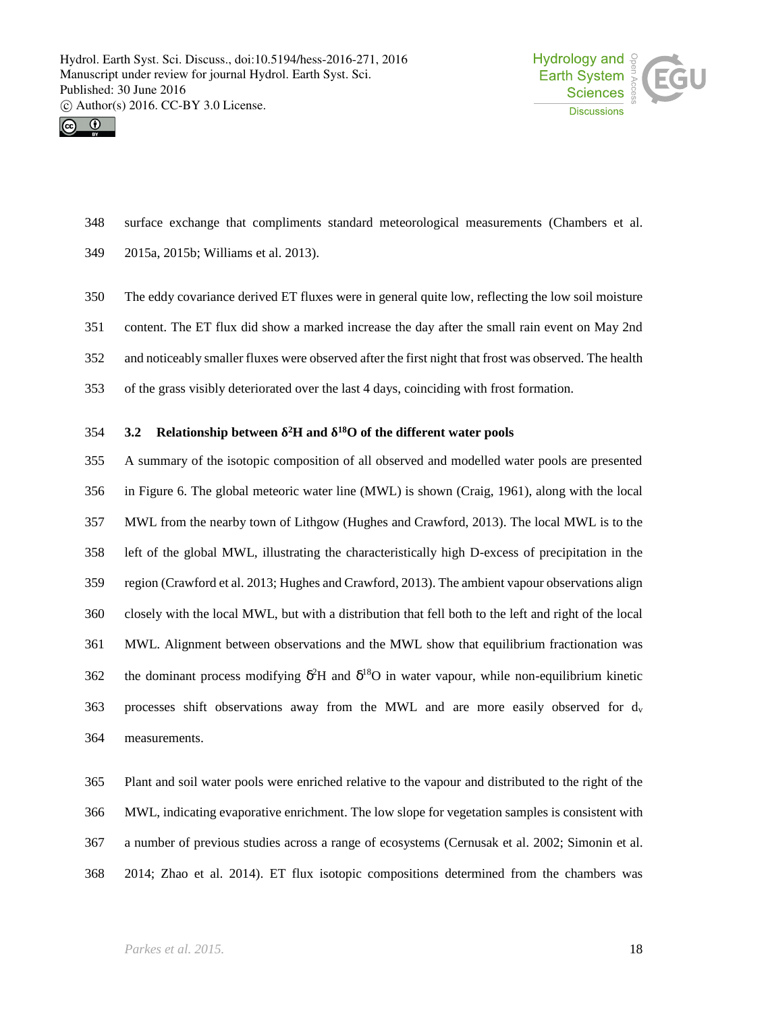



surface exchange that compliments standard meteorological measurements (Chambers et al.

2015a, 2015b; Williams et al. 2013).

 The eddy covariance derived ET fluxes were in general quite low, reflecting the low soil moisture content. The ET flux did show a marked increase the day after the small rain event on May 2nd

and noticeably smaller fluxes were observed after the first night that frost was observed. The health

of the grass visibly deteriorated over the last 4 days, coinciding with frost formation.

## **3.54 3.2 Relationship between** <sup>2</sup>**H** and <sup>18</sup>O of the different water pools

 A summary of the isotopic composition of all observed and modelled water pools are presented in Figure 6. The global meteoric water line (MWL) is shown (Craig, 1961), along with the local MWL from the nearby town of Lithgow (Hughes and Crawford, 2013). The local MWL is to the left of the global MWL, illustrating the characteristically high D-excess of precipitation in the region (Crawford et al. 2013; Hughes and Crawford, 2013). The ambient vapour observations align closely with the local MWL, but with a distribution that fell both to the left and right of the local MWL. Alignment between observations and the MWL show that equilibrium fractionation was 362 the dominant process modifying  $\delta^2$ H and  $\delta^{18}$ O in water vapour, while non-equilibrium kinetic 363 processes shift observations away from the MWL and are more easily observed for  $d_v$ measurements.

 Plant and soil water pools were enriched relative to the vapour and distributed to the right of the MWL, indicating evaporative enrichment. The low slope for vegetation samples is consistent with a number of previous studies across a range of ecosystems (Cernusak et al. 2002; Simonin et al. 2014; Zhao et al. 2014). ET flux isotopic compositions determined from the chambers was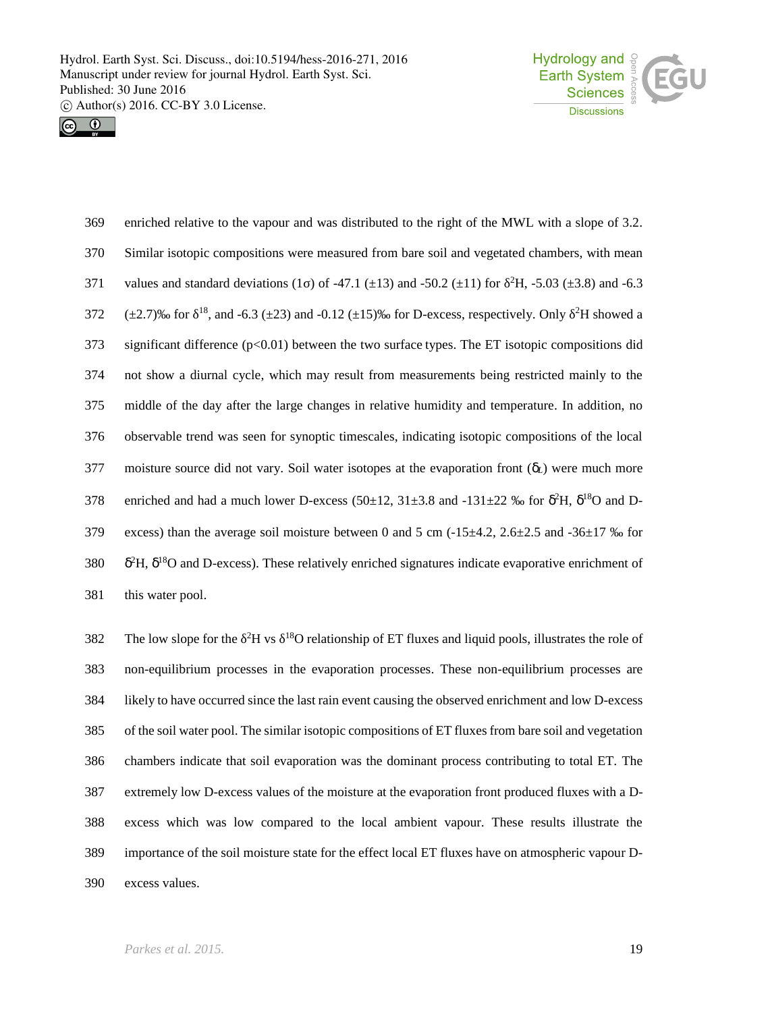



 enriched relative to the vapour and was distributed to the right of the MWL with a slope of 3.2. Similar isotopic compositions were measured from bare soil and vegetated chambers, with mean 371 values and standard deviations (1) of -47.1 ( $\pm$ 13) and -50.2 ( $\pm$ 11) for <sup>2</sup>H, -5.03 ( $\pm$ 3.8) and -6.3  $(\pm 2.7)$ % for <sup>18</sup>, and -6.3  $(\pm 23)$  and -0.12  $(\pm 15)$ % for D-excess, respectively. Only <sup>2</sup>H showed a 373 significant difference  $(p<0.01)$  between the two surface types. The ET isotopic compositions did not show a diurnal cycle, which may result from measurements being restricted mainly to the middle of the day after the large changes in relative humidity and temperature. In addition, no observable trend was seen for synoptic timescales, indicating isotopic compositions of the local moisture source did not vary. Soil water isotopes at the evaporation front (*L*) were much more 378 enriched and had a much lower D-excess  $(50\pm 12, 31\pm 3.8 \text{ and } -131\pm 22 \text{ % of of } \delta^2\text{H}, \delta^{18}\text{O and D}$ 379 excess) than the average soil moisture between 0 and 5 cm  $(-15\pm4.2, 2.6\pm2.5, 4.5\pm1.7)$  % for  $\delta^2$ H,  $\delta^{18}$ O and D-excess). These relatively enriched signatures indicate evaporative enrichment of this water pool.

382 The low slope for the  $2<sup>2</sup>H$  vs  $<sup>18</sup>O$  relationship of ET fluxes and liquid pools, illustrates the role of</sup> non-equilibrium processes in the evaporation processes. These non-equilibrium processes are likely to have occurred since the last rain event causing the observed enrichment and low D-excess of the soil water pool. The similar isotopic compositions of ET fluxes from bare soil and vegetation chambers indicate that soil evaporation was the dominant process contributing to total ET. The extremely low D-excess values of the moisture at the evaporation front produced fluxes with a D- excess which was low compared to the local ambient vapour. These results illustrate the importance of the soil moisture state for the effect local ET fluxes have on atmospheric vapour D- excess values.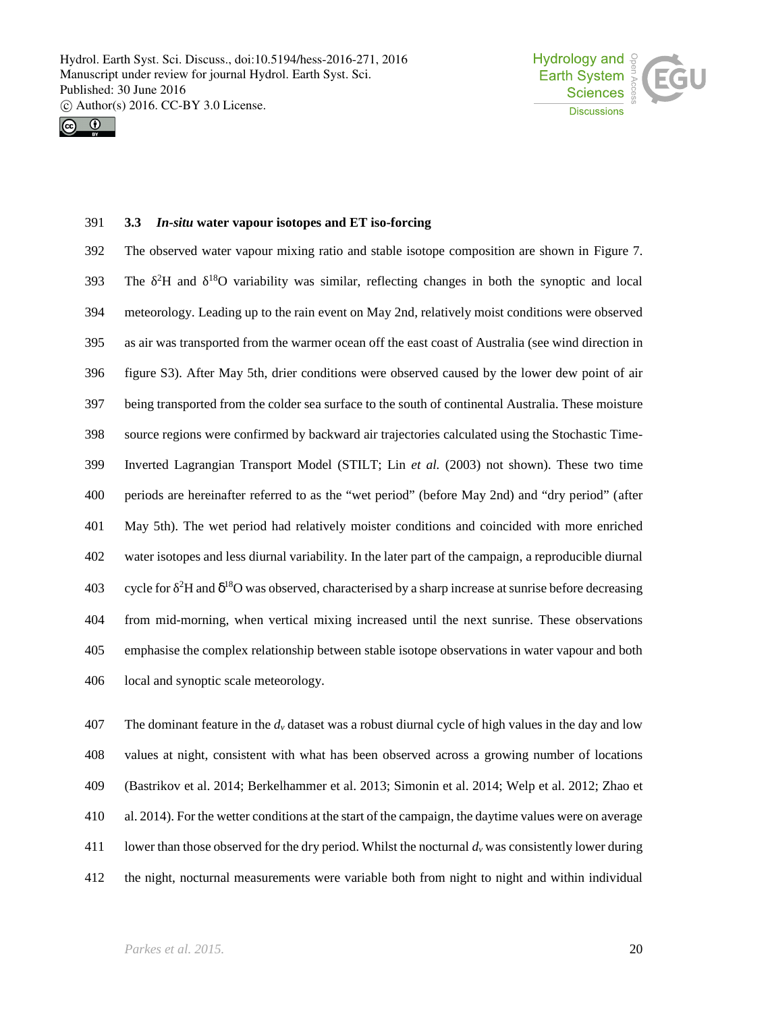



#### **3.3** *In-situ* **water vapour isotopes and ET iso-forcing**

 The observed water vapour mixing ratio and stable isotope composition are shown in Figure 7. The  ${}^{2}$ H and  ${}^{18}$ O variability was similar, reflecting changes in both the synoptic and local meteorology. Leading up to the rain event on May 2nd, relatively moist conditions were observed as air was transported from the warmer ocean off the east coast of Australia (see wind direction in figure S3). After May 5th, drier conditions were observed caused by the lower dew point of air being transported from the colder sea surface to the south of continental Australia. These moisture source regions were confirmed by backward air trajectories calculated using the Stochastic Time- Inverted Lagrangian Transport Model (STILT; Lin *et al.* (2003) not shown). These two time periods are hereinafter referred to as the "wet period" (before May 2nd) and "dry period" (after May 5th). The wet period had relatively moister conditions and coincided with more enriched water isotopes and less diurnal variability. In the later part of the campaign, a reproducible diurnal 403 cycle for  ${}^{2}$ H and  $\delta {}^{18}$ O was observed, characterised by a sharp increase at sunrise before decreasing from mid-morning, when vertical mixing increased until the next sunrise. These observations emphasise the complex relationship between stable isotope observations in water vapour and both local and synoptic scale meteorology.

 The dominant feature in the *d<sup>v</sup>* dataset was a robust diurnal cycle of high values in the day and low values at night, consistent with what has been observed across a growing number of locations (Bastrikov et al. 2014; Berkelhammer et al. 2013; Simonin et al. 2014; Welp et al. 2012; Zhao et al. 2014). For the wetter conditions at the start of the campaign, the daytime values were on average 411 lower than those observed for the dry period. Whilst the nocturnal  $d<sub>v</sub>$  was consistently lower during the night, nocturnal measurements were variable both from night to night and within individual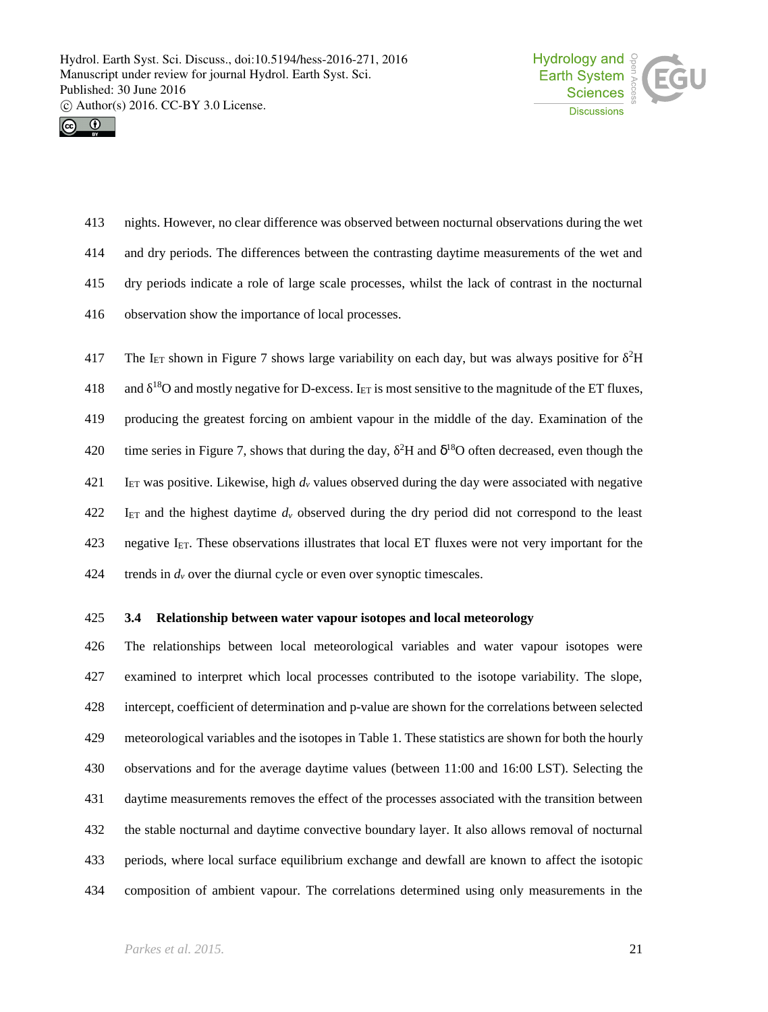



 nights. However, no clear difference was observed between nocturnal observations during the wet and dry periods. The differences between the contrasting daytime measurements of the wet and dry periods indicate a role of large scale processes, whilst the lack of contrast in the nocturnal observation show the importance of local processes.

417 The I<sub>ET</sub> shown in Figure 7 shows large variability on each day, but was always positive for <sup>2</sup>H 418 and O and mostly negative for D-excess. I<sub>ET</sub> is most sensitive to the magnitude of the ET fluxes, producing the greatest forcing on ambient vapour in the middle of the day. Examination of the 420 time series in Figure 7, shows that during the day,  $2H$  and  $\delta^{18}O$  often decreased, even though the I<sub>ET</sub> was positive. Likewise, high  $d<sub>v</sub>$  values observed during the day were associated with negative I<sub>ET</sub> and the highest daytime  $d<sub>v</sub>$  observed during the dry period did not correspond to the least 423 negative I<sub>ET</sub>. These observations illustrates that local ET fluxes were not very important for the 424 trends in  $d<sub>v</sub>$  over the diurnal cycle or even over synoptic timescales.

## **3.4 Relationship between water vapour isotopes and local meteorology**

 The relationships between local meteorological variables and water vapour isotopes were examined to interpret which local processes contributed to the isotope variability. The slope, intercept, coefficient of determination and p-value are shown for the correlations between selected meteorological variables and the isotopes in Table 1. These statistics are shown for both the hourly observations and for the average daytime values (between 11:00 and 16:00 LST). Selecting the daytime measurements removes the effect of the processes associated with the transition between the stable nocturnal and daytime convective boundary layer. It also allows removal of nocturnal periods, where local surface equilibrium exchange and dewfall are known to affect the isotopic composition of ambient vapour. The correlations determined using only measurements in the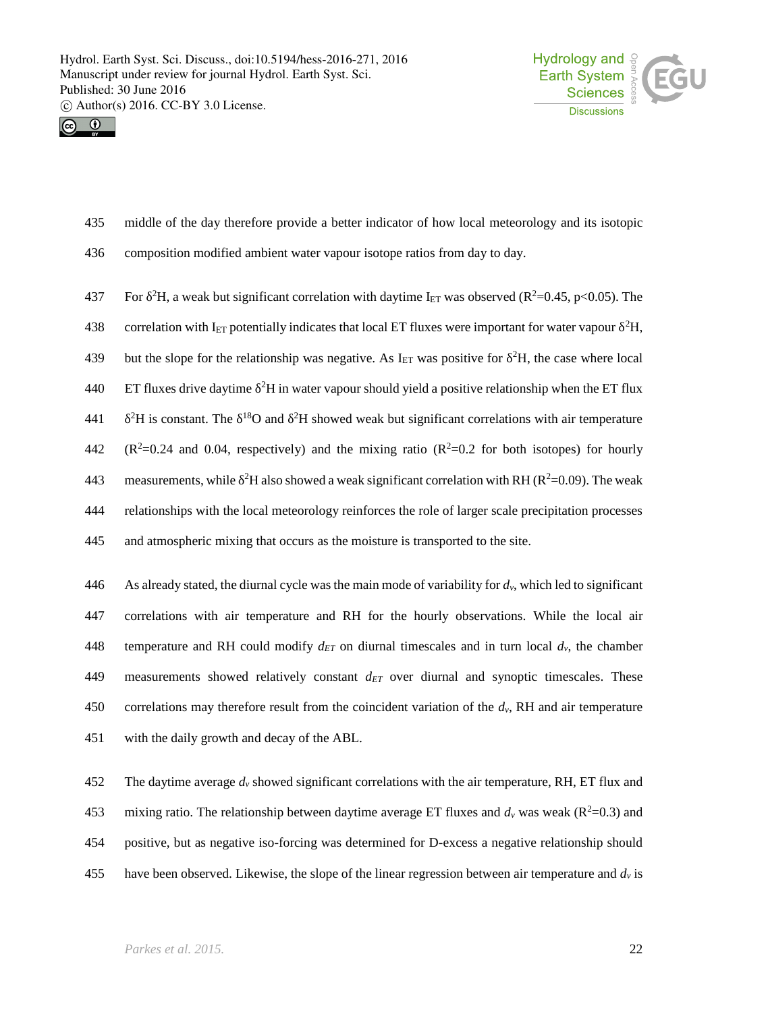



435 middle of the day therefore provide a better indicator of how local meteorology and its isotopic

- 436 composition modified ambient water vapour isotope ratios from day to day.
- 437 For <sup>2</sup>H, a weak but significant correlation with daytime I<sub>ET</sub> was observed ( $R^2$ =0.45, p<0.05). The 438 correlation with I<sub>ET</sub> potentially indicates that local ET fluxes were important for water vapour  ${}^{2}H$ , 439 but the slope for the relationship was negative. As I<sub>ET</sub> was positive for  ${}^{2}H$ , the case where local 440 ET fluxes drive daytime  ${}^{2}H$  in water vapour should yield a positive relationship when the ET flux  $241$   $\text{H}$  is constant. The  $^{18}$ O and  $^{2}$ H showed weak but significant correlations with air temperature 442 ( $R^2=0.24$  and 0.04, respectively) and the mixing ratio ( $R^2=0.2$  for both isotopes) for hourly 443 measurements, while <sup>2</sup>H also showed a weak significant correlation with RH ( $R^2$ =0.09). The weak 444 relationships with the local meteorology reinforces the role of larger scale precipitation processes 445 and atmospheric mixing that occurs as the moisture is transported to the site.
- 446 As already stated, the diurnal cycle was the main mode of variability for *dv*, which led to significant 447 correlations with air temperature and RH for the hourly observations. While the local air 448 temperature and RH could modify *dET* on diurnal timescales and in turn local *dv*, the chamber 449 measurements showed relatively constant *dET* over diurnal and synoptic timescales. These 450 correlations may therefore result from the coincident variation of the  $d<sub>v</sub>$ , RH and air temperature 451 with the daily growth and decay of the ABL.

452 The daytime average *d<sup>v</sup>* showed significant correlations with the air temperature, RH, ET flux and 453 mixing ratio. The relationship between daytime average ET fluxes and  $d<sub>v</sub>$  was weak ( $\mathbb{R}^2$ =0.3) and 454 positive, but as negative iso-forcing was determined for D-excess a negative relationship should 455 have been observed. Likewise, the slope of the linear regression between air temperature and  $d<sub>v</sub>$  is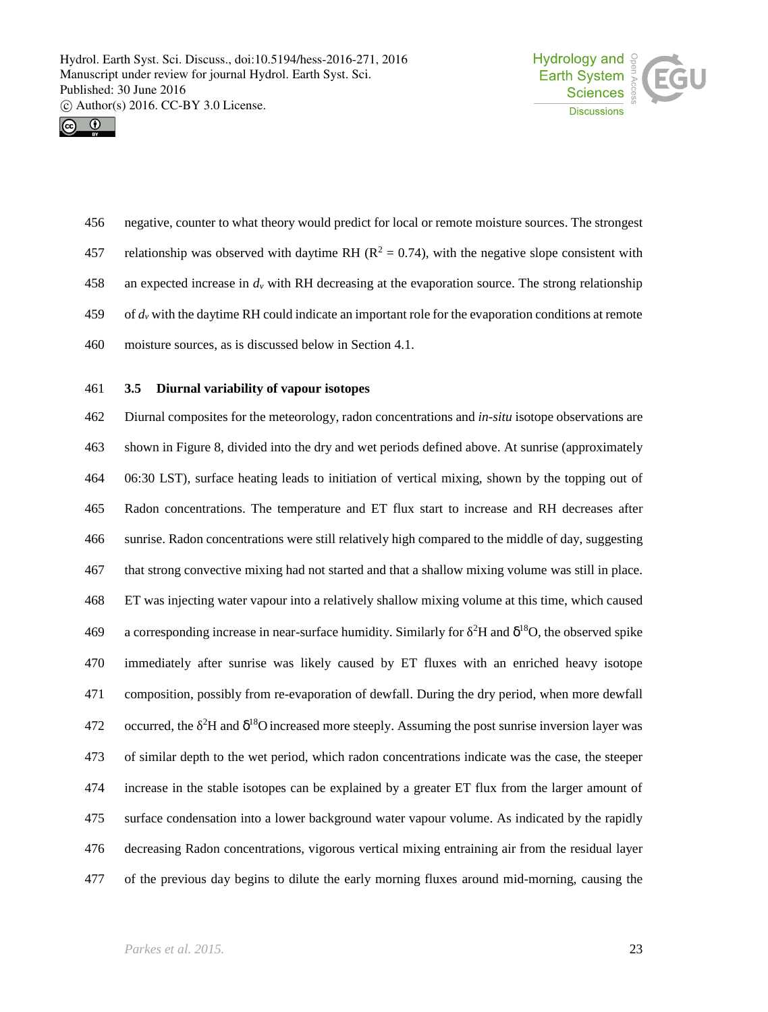



| 456 | negative, counter to what theory would predict for local or remote moisture sources. The strongest           |
|-----|--------------------------------------------------------------------------------------------------------------|
| 457 | relationship was observed with daytime RH ( $\mathbb{R}^2 = 0.74$ ), with the negative slope consistent with |
| 458 | an expected increase in $d_v$ with RH decreasing at the evaporation source. The strong relationship          |
| 459 | of $d_v$ with the daytime RH could indicate an important role for the evaporation conditions at remote       |
| 460 | moisture sources, as is discussed below in Section 4.1.                                                      |

## **3.5 Diurnal variability of vapour isotopes**

 Diurnal composites for the meteorology, radon concentrations and *in-situ* isotope observations are shown in Figure 8, divided into the dry and wet periods defined above. At sunrise (approximately 06:30 LST), surface heating leads to initiation of vertical mixing, shown by the topping out of Radon concentrations. The temperature and ET flux start to increase and RH decreases after sunrise. Radon concentrations were still relatively high compared to the middle of day, suggesting that strong convective mixing had not started and that a shallow mixing volume was still in place. ET was injecting water vapour into a relatively shallow mixing volume at this time, which caused 469 a corresponding increase in near-surface humidity. Similarly for  $2H$  and  $\delta^{18}O$ , the observed spike immediately after sunrise was likely caused by ET fluxes with an enriched heavy isotope composition, possibly from re-evaporation of dewfall. During the dry period, when more dewfall 472 occurred, the  ${}^{2}$ H and  $\delta {}^{18}$ O increased more steeply. Assuming the post sunrise inversion layer was of similar depth to the wet period, which radon concentrations indicate was the case, the steeper increase in the stable isotopes can be explained by a greater ET flux from the larger amount of surface condensation into a lower background water vapour volume. As indicated by the rapidly decreasing Radon concentrations, vigorous vertical mixing entraining air from the residual layer of the previous day begins to dilute the early morning fluxes around mid-morning, causing the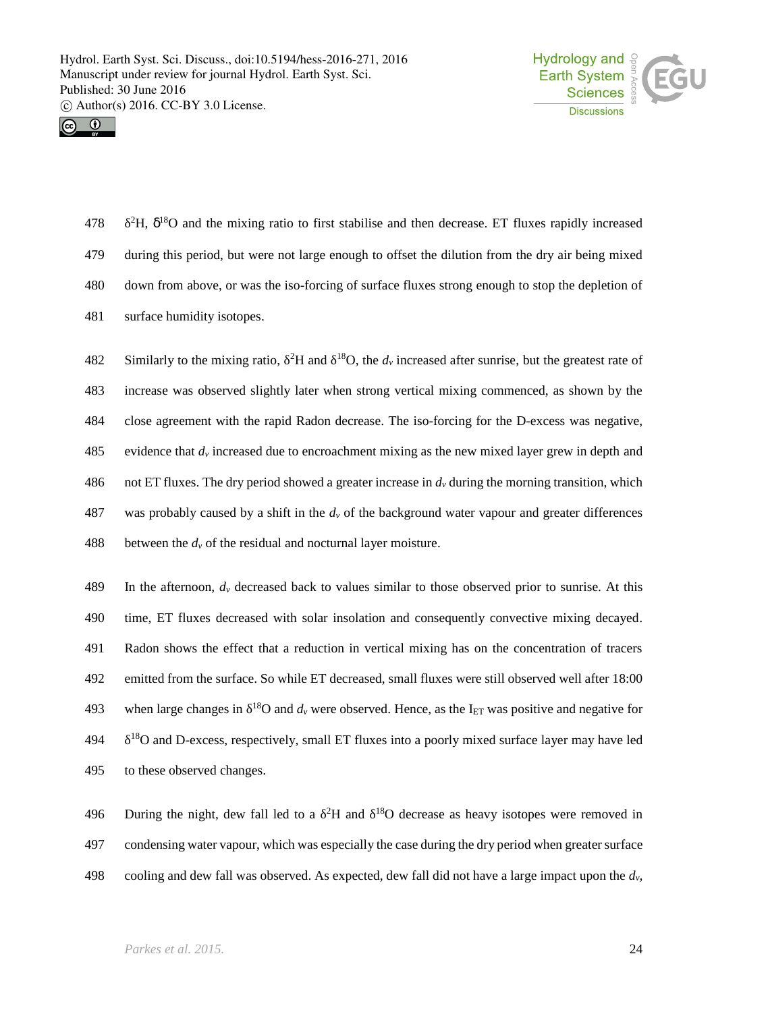



 $\mathrm{H}$ ,  $\delta^{18}$ O and the mixing ratio to first stabilise and then decrease. ET fluxes rapidly increased during this period, but were not large enough to offset the dilution from the dry air being mixed down from above, or was the iso-forcing of surface fluxes strong enough to stop the depletion of surface humidity isotopes.

Similarly to the mixing ratio,  ${}^{2}H$  and  ${}^{18}O$ , the  $d<sub>y</sub>$  increased after sunrise, but the greatest rate of 483 increase was observed slightly later when strong vertical mixing commenced, as shown by the 484 close agreement with the rapid Radon decrease. The iso-forcing for the D-excess was negative, 485 evidence that  $d<sub>y</sub>$  increased due to encroachment mixing as the new mixed layer grew in depth and 486 not ET fluxes. The dry period showed a greater increase in  $d<sub>v</sub>$  during the morning transition, which 487 was probably caused by a shift in the *d<sup>v</sup>* of the background water vapour and greater differences 488 between the  $d<sub>v</sub>$  of the residual and nocturnal layer moisture.

 In the afternoon, *d<sup>v</sup>* decreased back to values similar to those observed prior to sunrise. At this time, ET fluxes decreased with solar insolation and consequently convective mixing decayed. Radon shows the effect that a reduction in vertical mixing has on the concentration of tracers emitted from the surface. So while ET decreased, small fluxes were still observed well after 18:00 493 when large changes in  $18$ O and  $d<sub>v</sub>$  were observed. Hence, as the I<sub>ET</sub> was positive and negative for <sup>18</sup>O and D-excess, respectively, small ET fluxes into a poorly mixed surface layer may have led to these observed changes.

496 During the night, dew fall led to a  ${}^{2}H$  and  ${}^{18}O$  decrease as heavy isotopes were removed in 497 condensing water vapour, which was especially the case during the dry period when greater surface 498 cooling and dew fall was observed. As expected, dew fall did not have a large impact upon the *dv*,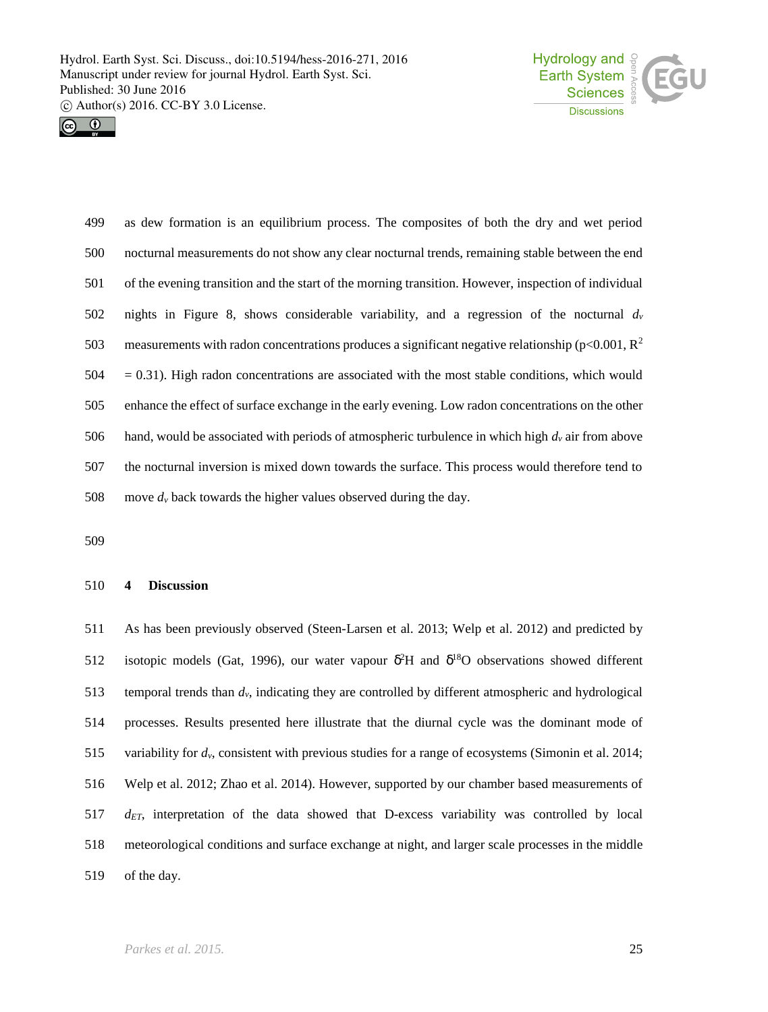



499 as dew formation is an equilibrium process. The composites of both the dry and wet period 500 nocturnal measurements do not show any clear nocturnal trends, remaining stable between the end 501 of the evening transition and the start of the morning transition. However, inspection of individual 502 nights in Figure 8, shows considerable variability, and a regression of the nocturnal *d<sup>v</sup>* 503 measurements with radon concentrations produces a significant negative relationship ( $p<0.001$ ,  $R^2$ )  $504 = 0.31$ ). High radon concentrations are associated with the most stable conditions, which would 505 enhance the effect of surface exchange in the early evening. Low radon concentrations on the other 506 hand, would be associated with periods of atmospheric turbulence in which high  $d<sub>v</sub>$  air from above 507 the nocturnal inversion is mixed down towards the surface. This process would therefore tend to 508 move  $d<sub>v</sub>$  back towards the higher values observed during the day.

509

## 510 **4 Discussion**

 As has been previously observed (Steen-Larsen et al. 2013; Welp et al. 2012) and predicted by 512 isotopic models (Gat, 1996), our water vapour  $\delta^2$ H and  $\delta^{18}$ O observations showed different 513 temporal trends than  $d<sub>v</sub>$ , indicating they are controlled by different atmospheric and hydrological processes. Results presented here illustrate that the diurnal cycle was the dominant mode of variability for *dv*, consistent with previous studies for a range of ecosystems (Simonin et al.2014; Welp et al.2012; Zhao et al. 2014). However, supported by our chamber based measurements of *dET*, interpretation of the data showed that D-excess variability was controlled by local meteorological conditions and surface exchange at night, and larger scale processes in the middle of the day.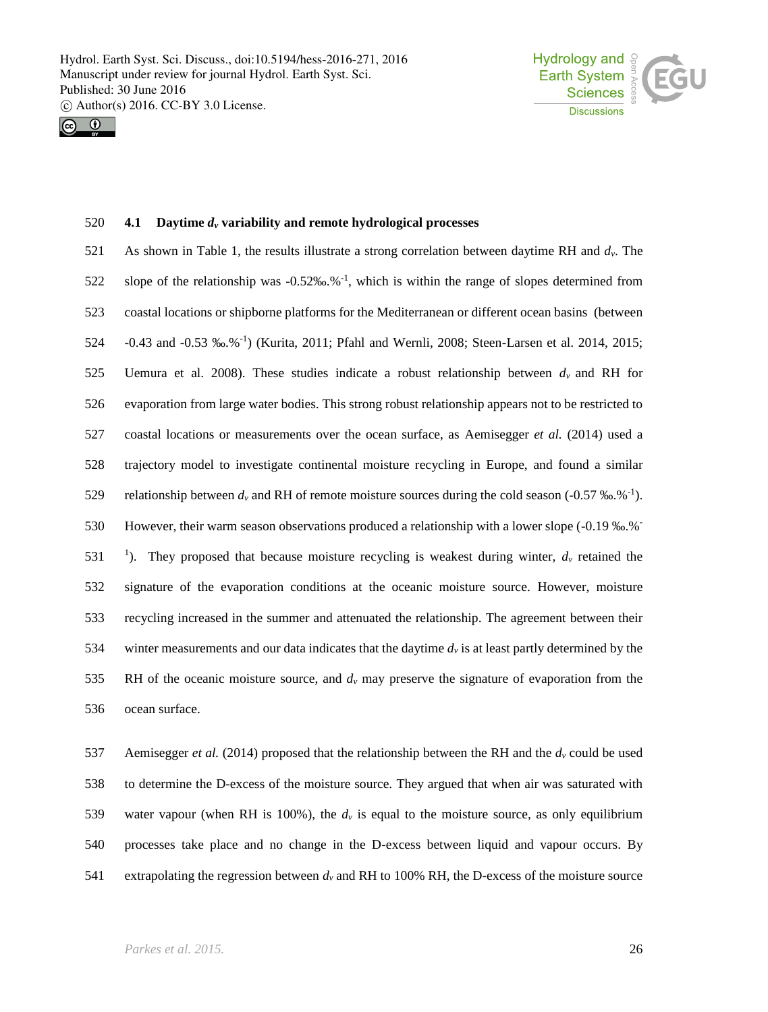



#### 520 **4.1 Daytime** *d<sup>v</sup>* **variability and remote hydrological processes**

521 As shown in Table 1, the results illustrate a strong correlation between daytime RH and  $d<sub>v</sub>$ . The 522 slope of the relationship was  $-0.52\% \cdot 0.52\%$ . which is within the range of slopes determined from coastal locations or shipborne platforms for the Mediterranean or different ocean basins (between  $-0.43$  and  $-0.53$  ‰.% $^{-1}$ ) (Kurita, 2011; Pfahl and Wernli, 2008; Steen-Larsen et al. 2014, 2015; 525 Uemura et al. 2008). These studies indicate a robust relationship between  $d<sub>v</sub>$  and RH for evaporation from large water bodies. This strong robust relationship appears not to be restricted to coastal locations or measurements over the ocean surface, as Aemisegger *et al.* (2014) used a trajectory model to investigate continental moisture recycling in Europe, and found a similar for relationship between  $d<sub>v</sub>$  and RH of remote moisture sources during the cold season (-0.57 ‰.%<sup>-1</sup>). However, their warm season observations produced a relationship with a lower slope (-0.19 ‰.%- 530 <sup>1</sup>). They proposed that because moisture recycling is weakest during winter,  $d<sub>v</sub>$  retained the signature of the evaporation conditions at the oceanic moisture source. However, moisture recycling increased in the summer and attenuated the relationship. The agreement between their 534 winter measurements and our data indicates that the daytime  $d<sub>v</sub>$  is at least partly determined by the RH of the oceanic moisture source, and *d<sup>v</sup>* may preserve the signature of evaporation from the ocean surface.

 Aemisegger *et al.* (2014) proposed that the relationship between the RH and the *d<sup>v</sup>* could be used to determine the D-excess of the moisture source. They argued that when air was saturated with water vapour (when RH is 100%), the *d<sup>v</sup>* is equal to the moisture source, as only equilibrium processes take place and no change in the D-excess between liquid and vapour occurs. By extrapolating the regression between *d<sup>v</sup>* and RH to 100% RH, the D-excess of the moisture source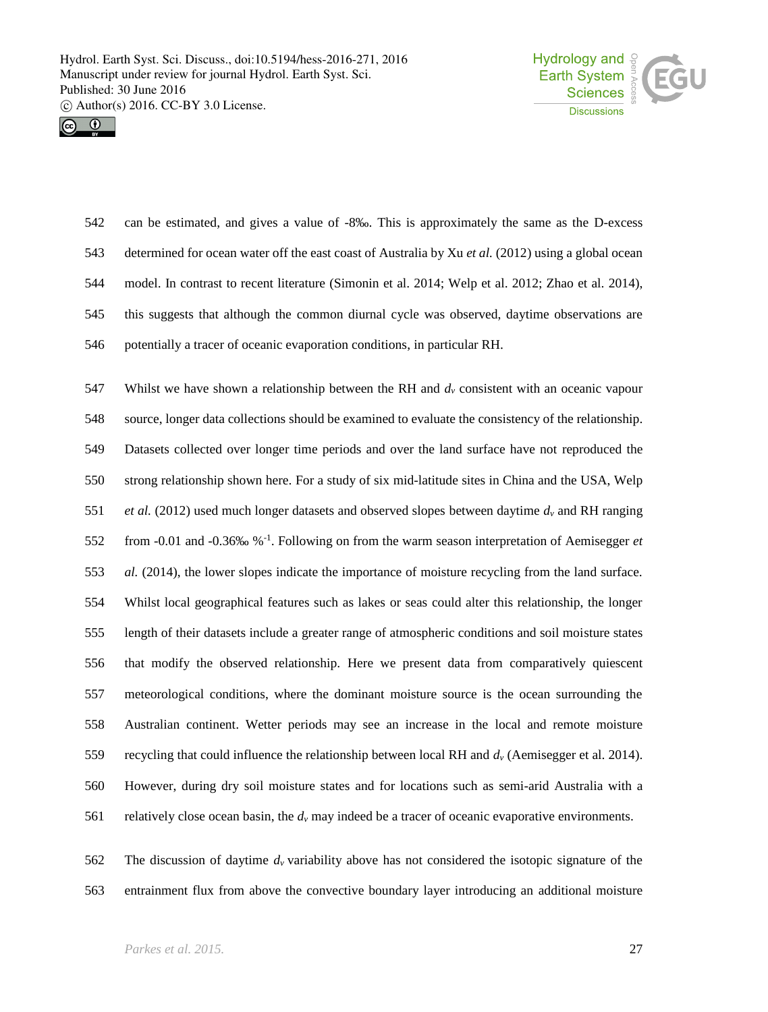



 can be estimated, and gives a value of -8‰. This is approximately the same as the D-excess determined for ocean water off the east coast of Australia by Xu *et al.* (2012) using a global ocean model. In contrast to recent literature (Simonin et al. 2014; Welp et al. 2012; Zhao et al. 2014), this suggests that although the common diurnal cycle was observed, daytime observations are potentially a tracer of oceanic evaporation conditions, in particular RH.

 Whilst we have shown a relationship between the RH and *d<sup>v</sup>* consistent with an oceanic vapour source, longer data collections should be examined to evaluate the consistency of the relationship. Datasets collected over longer time periods and over the land surface have not reproduced the strong relationship shown here. For a study of six mid-latitude sites in China and the USA, Welp *et al.* (2012) used much longer datasets and observed slopes between daytime *d<sup>v</sup>* and RH ranging from -0.01 and -0.36‰ %-1 . Following on from the warm season interpretation of Aemisegger *et al.* (2014), the lower slopes indicate the importance of moisture recycling from the land surface. Whilst local geographical features such as lakes or seas could alter this relationship, the longer length of their datasets include a greater range of atmospheric conditions and soil moisture states that modify the observed relationship. Here we present data from comparatively quiescent meteorological conditions, where the dominant moisture source is the ocean surrounding the Australian continent. Wetter periods may see an increase in the local and remote moisture 559 recycling that could influence the relationship between local RH and  $d<sub>v</sub>$  (Aemisegger et al. 2014). However, during dry soil moisture states and for locations such as semi-arid Australia with a relatively close ocean basin, the *d<sup>v</sup>* may indeed be a tracer of oceanic evaporative environments.

 The discussion of daytime *d<sup>v</sup>* variability above has not considered the isotopic signature of the entrainment flux from above the convective boundary layer introducing an additional moisture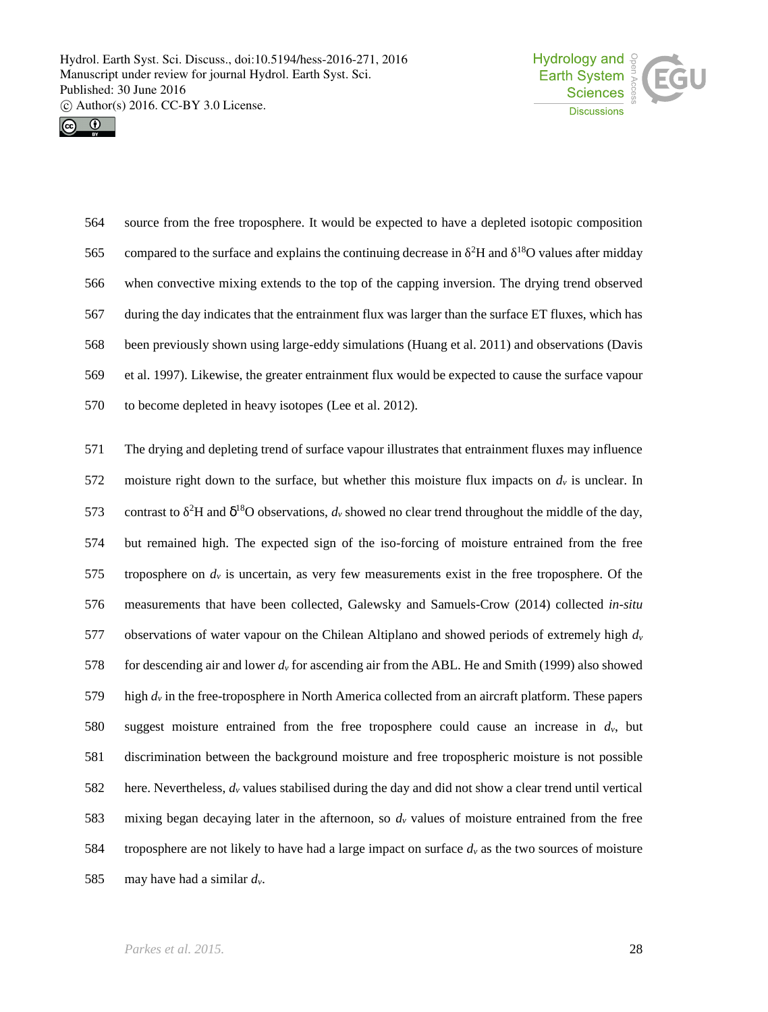



 source from the free troposphere. It would be expected to have a depleted isotopic composition 565 compared to the surface and explains the continuing decrease in  ${}^{2}H$  and  ${}^{18}O$  values after midday when convective mixing extends to the top of the capping inversion. The drying trend observed during the day indicates that the entrainment flux was larger than the surface ET fluxes, which has been previously shown using large-eddy simulations (Huang et al.2011) and observations (Davis et al. 1997). Likewise, the greater entrainment flux would be expected to cause the surface vapour to become depleted in heavy isotopes (Lee et al. 2012).

 The drying and depleting trend of surface vapour illustrates that entrainment fluxes may influence 572 moisture right down to the surface, but whether this moisture flux impacts on  $d<sub>v</sub>$  is unclear. In 573 contrast to <sup>2</sup>H and  $\delta^{18}$ O observations,  $d_\nu$  showed no clear trend throughout the middle of the day, but remained high. The expected sign of the iso-forcing of moisture entrained from the free 575 troposphere on  $d<sub>v</sub>$  is uncertain, as very few measurements exist in the free troposphere. Of the measurements that have been collected, Galewsky and Samuels-Crow (2014) collected *in-situ* observations of water vapour on the Chilean Altiplano and showed periods of extremely high *d<sup>v</sup>* for descending air and lower *d<sup>v</sup>* for ascending air from the ABL. He and Smith (1999) also showed 579 high  $d<sub>v</sub>$  in the free-troposphere in North America collected from an aircraft platform. These papers suggest moisture entrained from the free troposphere could cause an increase in *dv*, but discrimination between the background moisture and free tropospheric moisture is not possible here. Nevertheless, *d<sup>v</sup>* values stabilised during the day and did not show a clear trend until vertical mixing began decaying later in the afternoon, so *d<sup>v</sup>* values of moisture entrained from the free 584 troposphere are not likely to have had a large impact on surface  $d<sub>v</sub>$  as the two sources of moisture may have had a similar *dv*.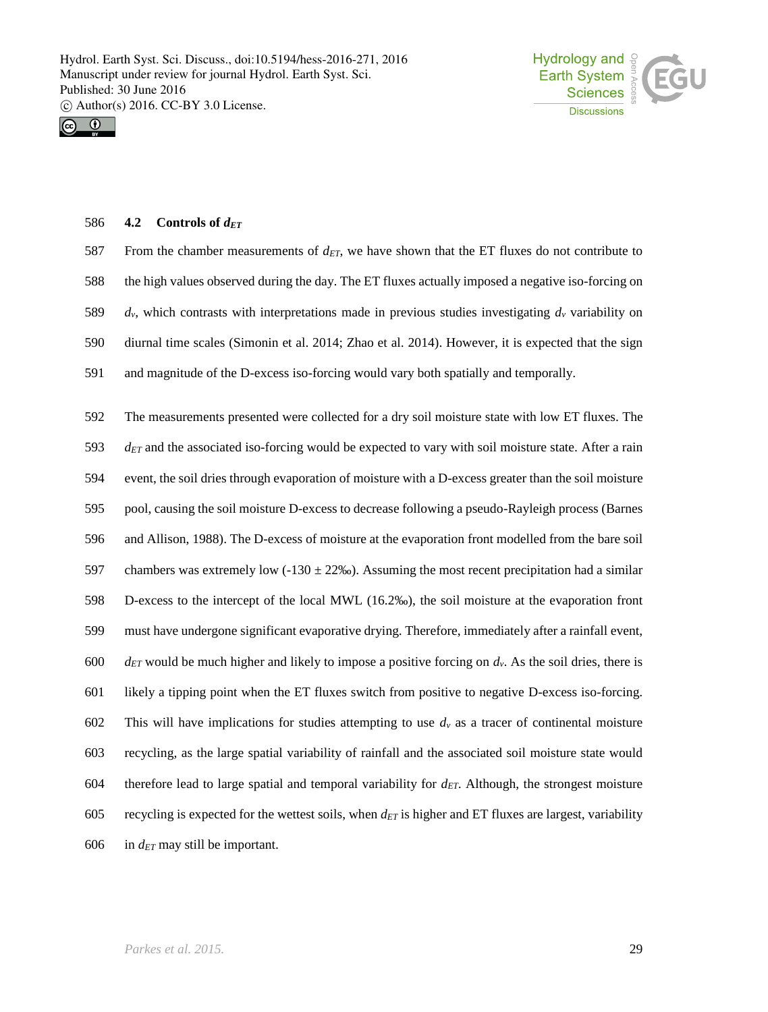



#### **4.2 Controls of** *dET*

 From the chamber measurements of *dET*, we have shown that the ET fluxes do not contribute to the high values observed during the day. The ET fluxes actually imposed a negative iso-forcing on  $d_v$ , which contrasts with interpretations made in previous studies investigating  $d_v$  variability on diurnal time scales (Simonin et al. 2014; Zhao et al. 2014). However, it is expected that the sign and magnitude of the D-excess iso-forcing would vary both spatially and temporally.

 The measurements presented were collected for a dry soil moisture state with low ET fluxes. The *dET* and the associated iso-forcing would be expected to vary with soil moisture state. After a rain event, the soil dries through evaporation of moisture with a D-excess greater than the soil moisture pool, causing the soil moisture D-excess to decrease following a pseudo-Rayleigh process (Barnes and Allison, 1988). The D-excess of moisture at the evaporation front modelled from the bare soil 597 chambers was extremely low  $(-130 \pm 22\%)$ . Assuming the most recent precipitation had a similar D-excess to the intercept of the local MWL (16.2‰), the soil moisture at the evaporation front must have undergone significant evaporative drying. Therefore, immediately after a rainfall event,  $d_{ET}$  would be much higher and likely to impose a positive forcing on  $d_v$ . As the soil dries, there is likely a tipping point when the ET fluxes switch from positive to negative D-excess iso-forcing. 602 This will have implications for studies attempting to use  $d<sub>v</sub>$  as a tracer of continental moisture recycling, as the large spatial variability of rainfall and the associated soil moisture state would 604 therefore lead to large spatial and temporal variability for  $d_{ET}$ . Although, the strongest moisture recycling is expected for the wettest soils, when *dET* is higher and ET fluxes are largest, variability in *dET* may still be important.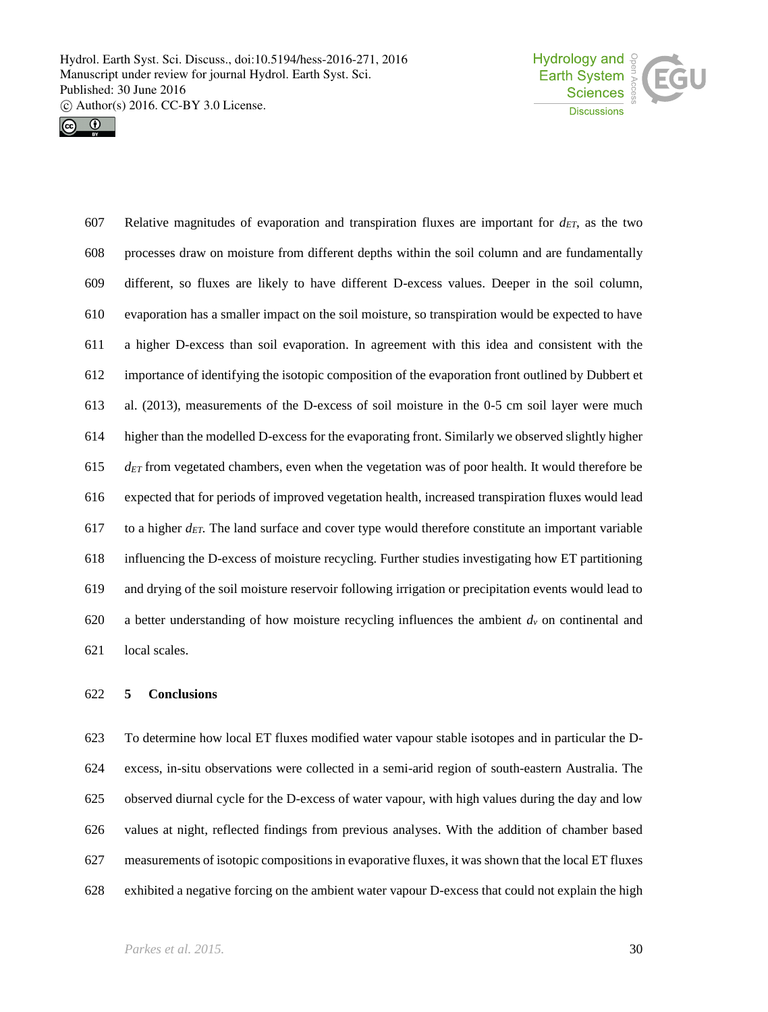



 Relative magnitudes of evaporation and transpiration fluxes are important for *dET*, as the two processes draw on moisture from different depths within the soil column and are fundamentally different, so fluxes are likely to have different D-excess values. Deeper in the soil column, evaporation has a smaller impact on the soil moisture, so transpiration would be expected to have a higher D-excess than soil evaporation. In agreement with this idea and consistent with the importance of identifying the isotopic composition of the evaporation front outlined by Dubbert et al. (2013), measurements of the D-excess of soil moisture in the 0-5 cm soil layer were much higher than the modelled D-excess for the evaporating front. Similarly we observed slightly higher *dET* from vegetated chambers, even when the vegetation was of poor health. It would therefore be expected that for periods of improved vegetation health, increased transpiration fluxes would lead 617 to a higher  $d_{ET}$ . The land surface and cover type would therefore constitute an important variable influencing the D-excess of moisture recycling. Further studies investigating how ET partitioning and drying of the soil moisture reservoir following irrigation or precipitation events would lead to 620 a better understanding of how moisture recycling influences the ambient  $d<sub>v</sub>$  on continental and local scales.

## **5 Conclusions**

 To determine how local ET fluxes modified water vapour stable isotopes and in particular the D- excess, in-situ observations were collected in a semi-arid region of south-eastern Australia. The observed diurnal cycle for the D-excess of water vapour, with high values during the day and low values at night, reflected findings from previous analyses. With the addition of chamber based measurements of isotopic compositions in evaporative fluxes, it was shown that the local ET fluxes exhibited a negative forcing on the ambient water vapour D-excess that could not explain the high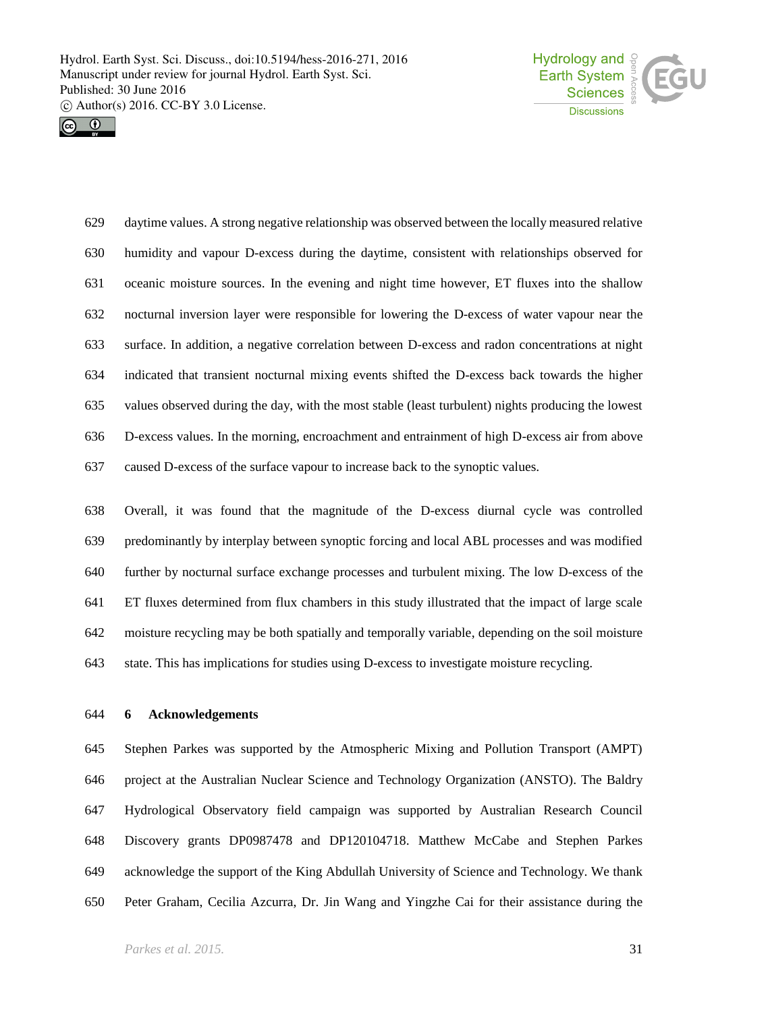



 daytime values. A strong negative relationship was observed between the locally measured relative humidity and vapour D-excess during the daytime, consistent with relationships observed for oceanic moisture sources. In the evening and night time however, ET fluxes into the shallow nocturnal inversion layer were responsible for lowering the D-excess of water vapour near the surface. In addition, a negative correlation between D-excess and radon concentrations at night indicated that transient nocturnal mixing events shifted the D-excess back towards the higher values observed during the day, with the most stable (least turbulent) nights producing the lowest D-excess values. In the morning, encroachment and entrainment of high D-excess air from above caused D-excess of the surface vapour to increase back to the synoptic values.

 Overall, it was found that the magnitude of the D-excess diurnal cycle was controlled predominantly by interplay between synoptic forcing and local ABL processes and was modified further by nocturnal surface exchange processes and turbulent mixing. The low D-excess of the ET fluxes determined from flux chambers in this study illustrated that the impact of large scale moisture recycling may be both spatially and temporally variable, depending on the soil moisture state. This has implications for studies using D-excess to investigate moisture recycling.

## **6 Acknowledgements**

 Stephen Parkes was supported by the Atmospheric Mixing and Pollution Transport (AMPT) project at the Australian Nuclear Science and Technology Organization (ANSTO). The Baldry Hydrological Observatory field campaign was supported by Australian Research Council Discovery grants DP0987478 and DP120104718. Matthew McCabe and Stephen Parkes acknowledge the support of the King Abdullah University of Science and Technology. We thank Peter Graham, Cecilia Azcurra, Dr. Jin Wang and Yingzhe Cai for their assistance during the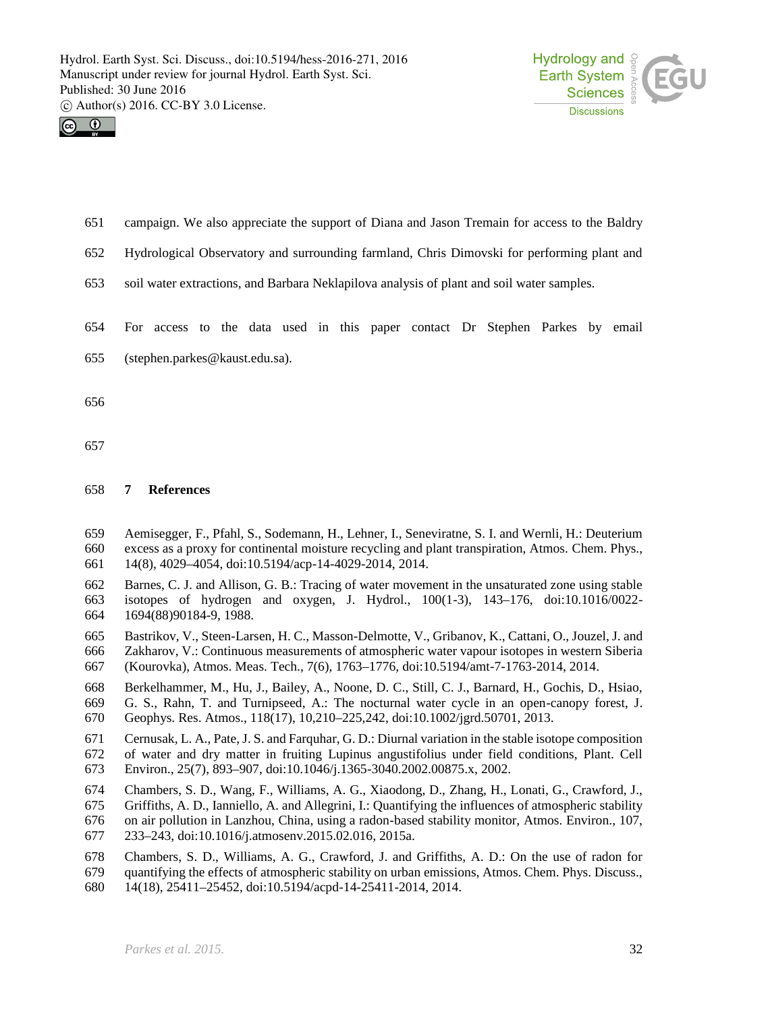



- campaign. We also appreciate the support of Diana and Jason Tremain for access to the Baldry
- Hydrological Observatory and surrounding farmland, Chris Dimovski for performing plant and
- soil water extractions, and Barbara Neklapilova analysis of plant and soil water samples.
- For access to the data used in this paper contact Dr Stephen Parkes by email
- (stephen.parkes@kaust.edu.sa).
- 
- 

## **7 References**

- Aemisegger, F., Pfahl, S., Sodemann, H., Lehner, I., Seneviratne, S. I. and Wernli, H.: Deuterium excess as a proxy for continental moisture recycling and plant transpiration, Atmos. Chem. Phys., 14(8), 4029–4054, doi:10.5194/acp-14-4029-2014, 2014.
- Barnes, C. J. and Allison, G. B.: Tracing of water movement in the unsaturated zone using stable isotopes of hydrogen and oxygen, J. Hydrol., 100(1-3), 143–176, doi:10.1016/0022- 1694(88)90184-9, 1988.
- Bastrikov, V., Steen-Larsen, H. C., Masson-Delmotte, V., Gribanov, K., Cattani, O., Jouzel, J. and
- Zakharov, V.: Continuous measurements of atmospheric water vapour isotopes in western Siberia
- (Kourovka), Atmos. Meas. Tech., 7(6), 1763–1776, doi:10.5194/amt-7-1763-2014, 2014.
- Berkelhammer, M., Hu, J., Bailey, A., Noone, D. C., Still, C. J., Barnard, H., Gochis, D., Hsiao, G. S., Rahn, T. and Turnipseed, A.: The nocturnal water cycle in an open-canopy forest, J. Geophys. Res. Atmos., 118(17), 10,210–225,242, doi:10.1002/jgrd.50701, 2013.
- Cernusak, L. A., Pate, J. S. and Farquhar, G. D.: Diurnal variation in the stable isotope composition
- of water and dry matter in fruiting Lupinus angustifolius under field conditions, Plant. Cell
- Environ., 25(7), 893–907, doi:10.1046/j.1365-3040.2002.00875.x, 2002.
- Chambers, S. D., Wang, F., Williams, A. G., Xiaodong, D., Zhang, H., Lonati, G., Crawford, J.,
- Griffiths, A. D., Ianniello, A. and Allegrini, I.: Quantifying the influences of atmospheric stability
- on air pollution in Lanzhou, China, using a radon-based stability monitor, Atmos. Environ., 107, 233–243, doi:10.1016/j.atmosenv.2015.02.016, 2015a.
- Chambers, S. D., Williams, A. G., Crawford, J. and Griffiths, A. D.: On the use of radon for
- quantifying the effects of atmospheric stability on urban emissions, Atmos. Chem. Phys. Discuss.,
- 14(18), 25411–25452, doi:10.5194/acpd-14-25411-2014, 2014.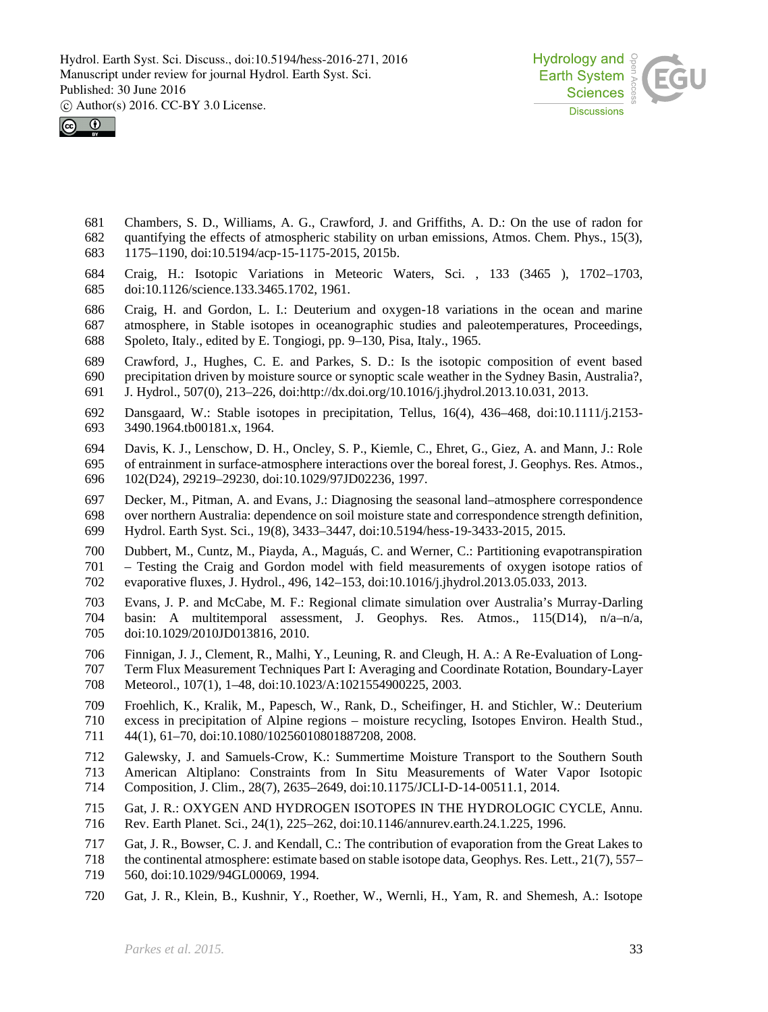



- Chambers, S. D., Williams, A. G., Crawford, J. and Griffiths, A. D.: On the use of radon for quantifying the effects of atmospheric stability on urban emissions, Atmos. Chem. Phys., 15(3), 1175–1190, doi:10.5194/acp-15-1175-2015, 2015b.
- Craig, H.: Isotopic Variations in Meteoric Waters, Sci. , 133 (3465 ), 1702–1703, doi:10.1126/science.133.3465.1702, 1961.
- Craig, H. and Gordon, L. I.: Deuterium and oxygen-18 variations in the ocean and marine atmosphere, in Stable isotopes in oceanographic studies and paleotemperatures, Proceedings, Spoleto, Italy., edited by E. Tongiogi, pp. 9–130, Pisa, Italy., 1965.
- Crawford, J., Hughes, C. E. and Parkes, S. D.: Is the isotopic composition of event based precipitation driven by moisture source or synoptic scale weather in the Sydney Basin, Australia?, J. Hydrol., 507(0), 213–226, doi:http://dx.doi.org/10.1016/j.jhydrol.2013.10.031, 2013.
- Dansgaard, W.: Stable isotopes in precipitation, Tellus, 16(4), 436–468, doi:10.1111/j.2153- 3490.1964.tb00181.x, 1964.
- Davis, K. J., Lenschow, D. H., Oncley, S. P., Kiemle, C., Ehret, G., Giez, A. and Mann, J.: Role of entrainment in surface-atmosphere interactions over the boreal forest, J. Geophys. Res. Atmos., 102(D24), 29219–29230, doi:10.1029/97JD02236, 1997.
- Decker, M., Pitman, A. and Evans, J.: Diagnosing the seasonal land–atmosphere correspondence over northern Australia: dependence on soil moisture state and correspondence strength definition, Hydrol. Earth Syst. Sci., 19(8), 3433–3447, doi:10.5194/hess-19-3433-2015, 2015.
- Dubbert, M., Cuntz, M., Piayda, A., Maguás, C. and Werner, C.: Partitioning evapotranspiration – Testing the Craig and Gordon model with field measurements of oxygen isotope ratios of evaporative fluxes, J. Hydrol., 496, 142–153, doi:10.1016/j.jhydrol.2013.05.033, 2013.
- Evans, J. P. and McCabe, M. F.: Regional climate simulation over Australia's Murray-Darling basin: A multitemporal assessment, J. Geophys. Res. Atmos., 115(D14), n/a–n/a, doi:10.1029/2010JD013816, 2010.
- Finnigan, J. J., Clement, R., Malhi, Y., Leuning, R. and Cleugh, H. A.: A Re-Evaluation of Long-
- Term Flux Measurement Techniques Part I: Averaging and Coordinate Rotation, Boundary-Layer Meteorol., 107(1), 1–48, doi:10.1023/A:1021554900225, 2003.
- Froehlich, K., Kralik, M., Papesch, W., Rank, D., Scheifinger, H. and Stichler, W.: Deuterium excess in precipitation of Alpine regions – moisture recycling, Isotopes Environ. Health Stud., 44(1), 61–70, doi:10.1080/10256010801887208, 2008.
- Galewsky, J. and Samuels-Crow, K.: Summertime Moisture Transport to the Southern South American Altiplano: Constraints from In Situ Measurements of Water Vapor Isotopic Composition, J. Clim., 28(7), 2635–2649, doi:10.1175/JCLI-D-14-00511.1, 2014.
- 
- Gat, J. R.: OXYGEN AND HYDROGEN ISOTOPES IN THE HYDROLOGIC CYCLE, Annu. Rev. Earth Planet. Sci., 24(1), 225–262, doi:10.1146/annurev.earth.24.1.225, 1996.
- Gat, J. R., Bowser, C. J. and Kendall, C.: The contribution of evaporation from the Great Lakes to
- the continental atmosphere: estimate based on stable isotope data, Geophys. Res. Lett., 21(7), 557–
- 560, doi:10.1029/94GL00069, 1994.
- Gat, J. R., Klein, B., Kushnir, Y., Roether, W., Wernli, H., Yam, R. and Shemesh, A.: Isotope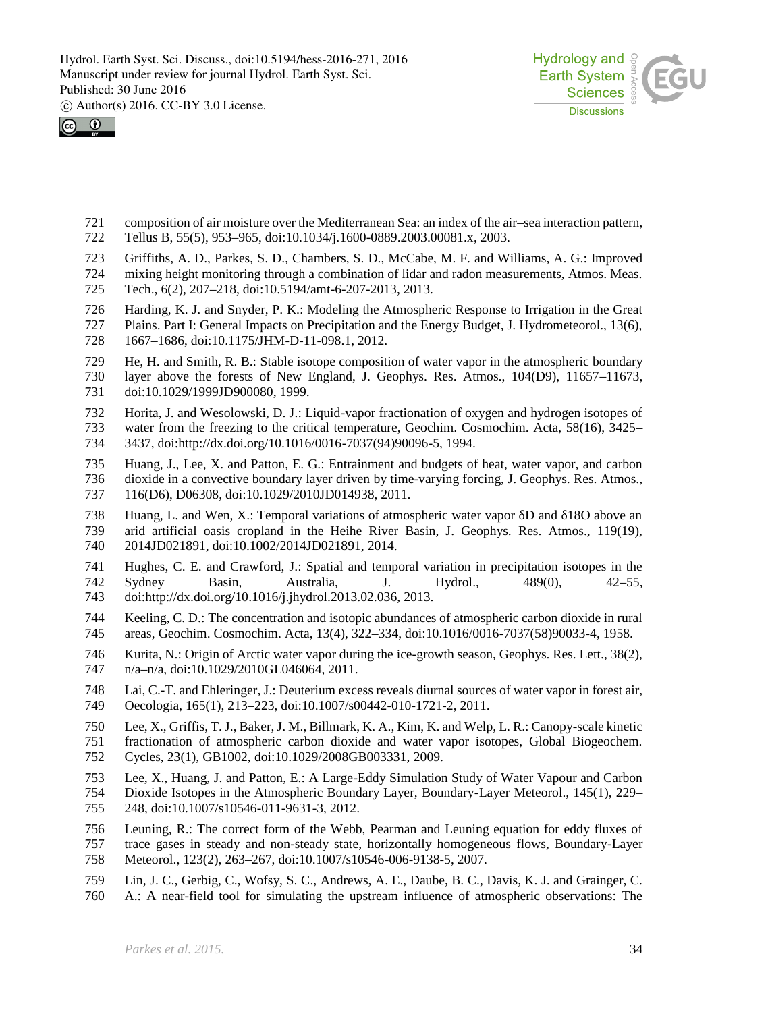



- 721 composition of air moisture over the Mediterranean Sea: an index of the air–sea interaction pattern,<br>722 Tellus B, 55(5), 953–965, doi:10.1034/j.1600-0889.2003.00081.x, 2003. Tellus B, 55(5), 953–965, doi:10.1034/j.1600-0889.2003.00081.x, 2003.
- Griffiths, A. D., Parkes, S. D., Chambers, S. D., McCabe, M. F. and Williams, A. G.: Improved
- mixing height monitoring through a combination of lidar and radon measurements, Atmos. Meas.
- Tech., 6(2), 207–218, doi:10.5194/amt-6-207-2013, 2013.
- Harding, K. J. and Snyder, P. K.: Modeling the Atmospheric Response to Irrigation in the Great
- Plains. Part I: General Impacts on Precipitation and the Energy Budget, J. Hydrometeorol., 13(6), 1667–1686, doi:10.1175/JHM-D-11-098.1, 2012.
- 729 He, H. and Smith, R. B.: Stable isotope composition of water vapor in the atmospheric boundary<br>730 layer above the forests of New England, J. Geophys. Res. Atmos., 104(D9), 11657–11673, layer above the forests of New England, J. Geophys. Res. Atmos., 104(D9), 11657–11673,
- doi:10.1029/1999JD900080, 1999.
- Horita, J. and Wesolowski, D. J.: Liquid-vapor fractionation of oxygen and hydrogen isotopes of 733 water from the freezing to the critical temperature, Geochim. Cosmochim. Acta, 58(16), 3425–734 3437, doi:http://dx.doi.org/10.1016/0016-7037(94)90096-5, 1994. 3437, doi:http://dx.doi.org/10.1016/0016-7037(94)90096-5, 1994.
- Huang, J., Lee, X. and Patton, E. G.: Entrainment and budgets of heat, water vapor, and carbon dioxide in a convective boundary layer driven by time-varying forcing, J. Geophys. Res. Atmos., 116(D6), D06308, doi:10.1029/2010JD014938, 2011.
- 738 Huang, L. and Wen, X.: Temporal variations of atmospheric water vapor D and 18O above an arid artificial oasis cropland in the Heihe River Basin, J. Geophys. Res. Atmos., 119(19), 2014JD021891, doi:10.1002/2014JD021891, 2014.
- Hughes, C. E. and Crawford, J.: Spatial and temporal variation in precipitation isotopes in the Sydney Basin, Australia, J. Hydrol., 489(0), 42–55, doi:http://dx.doi.org/10.1016/j.jhydrol.2013.02.036, 2013.
- Keeling, C. D.: The concentration and isotopic abundances of atmospheric carbon dioxide in rural areas, Geochim. Cosmochim. Acta, 13(4), 322–334, doi:10.1016/0016-7037(58)90033-4, 1958.
- Kurita, N.: Origin of Arctic water vapor during the ice-growth season, Geophys. Res. Lett., 38(2), n/a–n/a, doi:10.1029/2010GL046064, 2011.
- Lai, C.-T. and Ehleringer, J.: Deuterium excess reveals diurnal sources of water vapor in forest air, Oecologia, 165(1), 213–223, doi:10.1007/s00442-010-1721-2, 2011.
- Lee, X., Griffis, T. J., Baker, J. M., Billmark, K. A., Kim, K. and Welp, L. R.: Canopy-scale kinetic fractionation of atmospheric carbon dioxide and water vapor isotopes, Global Biogeochem. Cycles, 23(1), GB1002, doi:10.1029/2008GB003331, 2009.
- Lee, X., Huang, J. and Patton, E.: A Large-Eddy Simulation Study of Water Vapour and Carbon
- Dioxide Isotopes in the Atmospheric Boundary Layer, Boundary-Layer Meteorol., 145(1), 229– 248, doi:10.1007/s10546-011-9631-3, 2012.
- Leuning, R.: The correct form of the Webb, Pearman and Leuning equation for eddy fluxes of
- trace gases in steady and non-steady state, horizontally homogeneous flows, Boundary-Layer
- Meteorol., 123(2), 263–267, doi:10.1007/s10546-006-9138-5, 2007.
- Lin, J. C., Gerbig, C., Wofsy, S. C., Andrews, A. E., Daube, B. C., Davis, K. J. and Grainger, C.
- A.: A near-field tool for simulating the upstream influence of atmospheric observations: The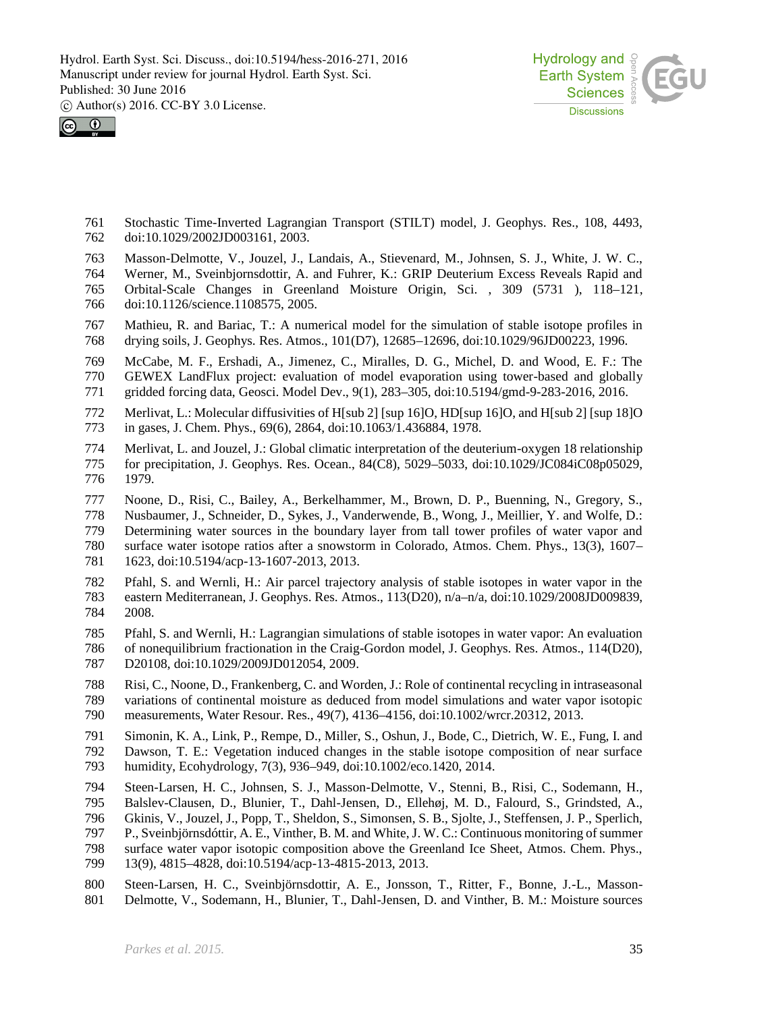



 Stochastic Time-Inverted Lagrangian Transport (STILT) model, J. Geophys. Res., 108, 4493, doi:10.1029/2002JD003161, 2003.

Masson-Delmotte, V., Jouzel, J., Landais, A., Stievenard, M., Johnsen, S. J., White, J. W. C.,

- Werner, M., Sveinbjornsdottir, A. and Fuhrer, K.: GRIP Deuterium Excess Reveals Rapid and
- Orbital-Scale Changes in Greenland Moisture Origin, Sci. , 309 (5731 ), 118–121, doi:10.1126/science.1108575, 2005.
- Mathieu, R. and Bariac, T.: A numerical model for the simulation of stable isotope profiles in drying soils, J. Geophys. Res. Atmos., 101(D7), 12685–12696, doi:10.1029/96JD00223, 1996.
- 769 McCabe, M. F., Ershadi, A., Jimenez, C., Miralles, D. G., Michel, D. and Wood, E. F.: The GEWEX LandFlux project: evaluation of model evaporation using tower-based and globally
- GEWEX LandFlux project: evaluation of model evaporation using tower-based and globally
- gridded forcing data, Geosci. Model Dev., 9(1), 283–305, doi:10.5194/gmd-9-283-2016, 2016.
- Merlivat, L.: Molecular diffusivities of H[sub 2] [sup 16]O, HD[sup 16]O, and H[sub 2] [sup 18]O in gases, J. Chem. Phys., 69(6), 2864, doi:10.1063/1.436884, 1978.
- 774 Merlivat, L. and Jouzel, J.: Global climatic interpretation of the deuterium-oxygen 18 relationship<br>775 for precipitation, J. Geophys. Res. Ocean., 84(C8), 5029–5033, doi:10.1029/JC084iC08p05029, for precipitation, J. Geophys. Res. Ocean., 84(C8), 5029–5033, doi:10.1029/JC084iC08p05029, 1979.
- Noone, D., Risi, C., Bailey, A., Berkelhammer, M., Brown, D. P., Buenning, N., Gregory, S., Nusbaumer, J., Schneider, D., Sykes, J., Vanderwende, B., Wong, J., Meillier, Y. and Wolfe, D.: Determining water sources in the boundary layer from tall tower profiles of water vapor and 780 surface water isotope ratios after a snowstorm in Colorado, Atmos. Chem. Phys., 13(3), 1607–781 1623, doi:10.5194/acp-13-1607-2013, 2013.
- 1623, doi:10.5194/acp-13-1607-2013, 2013.
- Pfahl, S. and Wernli, H.: Air parcel trajectory analysis of stable isotopes in water vapor in the eastern Mediterranean, J. Geophys. Res. Atmos., 113(D20), n/a–n/a, doi:10.1029/2008JD009839, 2008.
- Pfahl, S. and Wernli, H.: Lagrangian simulations of stable isotopes in water vapor: An evaluation
- of nonequilibrium fractionation in the Craig-Gordon model, J. Geophys. Res. Atmos., 114(D20), D20108, doi:10.1029/2009JD012054, 2009.
- Risi, C., Noone, D., Frankenberg, C. and Worden, J.: Role of continental recycling in intraseasonal
- variations of continental moisture as deduced from model simulations and water vapor isotopic measurements, Water Resour. Res., 49(7), 4136–4156, doi:10.1002/wrcr.20312, 2013.
- Simonin, K. A., Link, P., Rempe, D., Miller, S., Oshun, J., Bode, C., Dietrich, W. E., Fung, I. and
- Dawson, T. E.: Vegetation induced changes in the stable isotope composition of near surface
- humidity, Ecohydrology, 7(3), 936–949, doi:10.1002/eco.1420, 2014.
- Steen-Larsen, H. C., Johnsen, S. J., Masson-Delmotte, V., Stenni, B., Risi, C., Sodemann, H.,
- Balslev-Clausen, D., Blunier, T., Dahl-Jensen, D., Ellehøj, M. D., Falourd, S., Grindsted, A.,
- Gkinis, V., Jouzel, J., Popp, T., Sheldon, S., Simonsen, S. B., Sjolte, J., Steffensen, J. P., Sperlich,
- P., Sveinbjörnsdóttir, A. E., Vinther, B. M. and White, J. W. C.: Continuous monitoring of summer
- surface water vapor isotopic composition above the Greenland Ice Sheet, Atmos. Chem. Phys.,
- 13(9), 4815–4828, doi:10.5194/acp-13-4815-2013, 2013.
- Steen-Larsen, H. C., Sveinbjörnsdottir, A. E., Jonsson, T., Ritter, F., Bonne, J.-L., Masson- Delmotte, V., Sodemann, H., Blunier, T., Dahl-Jensen, D. and Vinther, B. M.: Moisture sources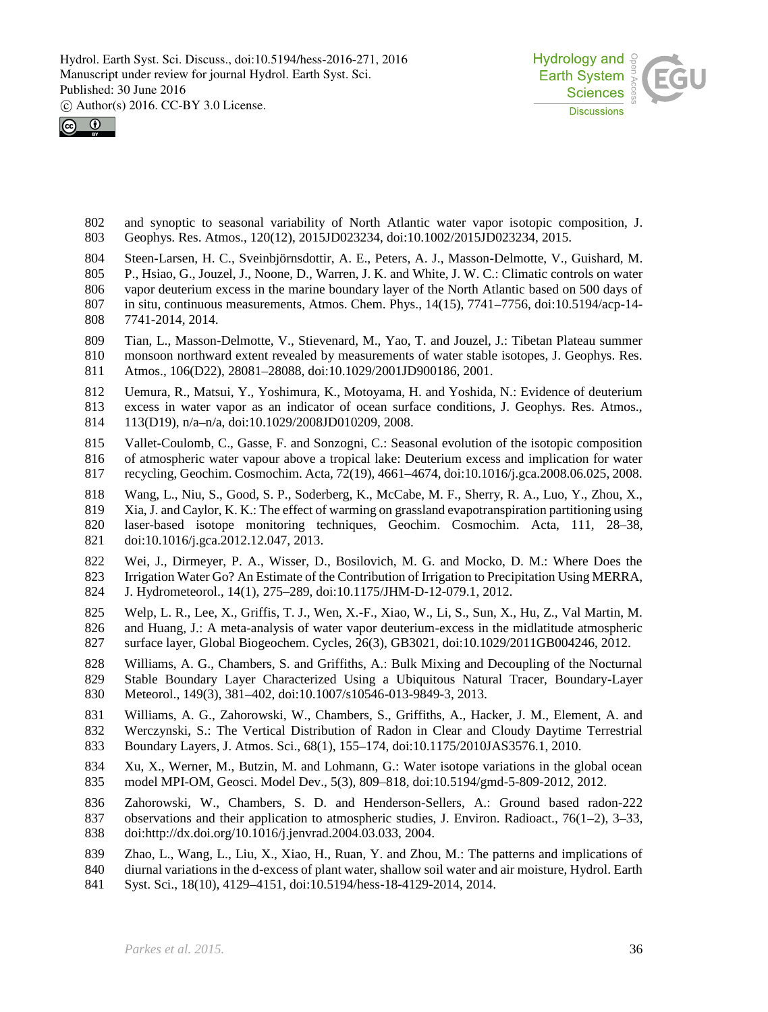



- 802 and synoptic to seasonal variability of North Atlantic water vapor isotopic composition, J. 803 Geophys. Res. Atmos., 120(12), 2015JD023234, doi:10.1002/2015JD023234, 2015. Geophys. Res. Atmos., 120(12), 2015JD023234, doi:10.1002/2015JD023234, 2015.
- Steen-Larsen, H. C., Sveinbjörnsdottir, A. E., Peters, A. J., Masson-Delmotte, V., Guishard, M.
- P., Hsiao, G., Jouzel, J., Noone, D., Warren, J. K. and White, J. W. C.: Climatic controls on water
- 806 vapor deuterium excess in the marine boundary layer of the North Atlantic based on 500 days of 807 in situ, continuous measurements, Atmos. Chem. Phys., 14(15), 7741–7756, doi:10.5194/acp-14-807 in situ, continuous measurements, Atmos. Chem. Phys., 14(15), 7741–7756, doi:10.5194/acp-14-<br>808 7741-2014, 2014. 7741-2014, 2014.
- Tian, L., Masson-Delmotte, V., Stievenard, M., Yao, T. and Jouzel, J.: Tibetan Plateau summer
- monsoon northward extent revealed by measurements of water stable isotopes, J. Geophys. Res. Atmos., 106(D22), 28081–28088, doi:10.1029/2001JD900186, 2001.
- Uemura, R., Matsui, Y., Yoshimura, K., Motoyama, H. and Yoshida, N.: Evidence of deuterium excess in water vapor as an indicator of ocean surface conditions, J. Geophys. Res. Atmos., 113(D19), n/a–n/a, doi:10.1029/2008JD010209, 2008.
- Vallet-Coulomb, C., Gasse, F. and Sonzogni, C.: Seasonal evolution of the isotopic composition
- of atmospheric water vapour above a tropical lake: Deuterium excess and implication for water
- recycling, Geochim. Cosmochim. Acta, 72(19), 4661–4674, doi:10.1016/j.gca.2008.06.025, 2008.
- Wang, L., Niu, S., Good, S. P., Soderberg, K., McCabe, M. F., Sherry, R. A., Luo, Y., Zhou, X.,
- Xia, J. and Caylor, K. K.: The effect of warming on grassland evapotranspiration partitioning using
- laser-based isotope monitoring techniques, Geochim. Cosmochim. Acta, 111, 28–38, doi:10.1016/j.gca.2012.12.047, 2013.
- Wei, J., Dirmeyer, P. A., Wisser, D., Bosilovich, M. G. and Mocko, D. M.: Where Does the Irrigation Water Go? An Estimate of the Contribution of Irrigation to Precipitation Using MERRA, J. Hydrometeorol., 14(1), 275–289, doi:10.1175/JHM-D-12-079.1, 2012.
- Welp, L. R., Lee, X., Griffis, T. J., Wen, X.-F., Xiao, W., Li, S., Sun, X., Hu, Z., Val Martin, M.
- and Huang, J.: A meta-analysis of water vapor deuterium-excess in the midlatitude atmospheric surface layer, Global Biogeochem. Cycles, 26(3), GB3021, doi:10.1029/2011GB004246, 2012.
- Williams, A. G., Chambers, S. and Griffiths, A.: Bulk Mixing and Decoupling of the Nocturnal Stable Boundary Layer Characterized Using a Ubiquitous Natural Tracer, Boundary-Layer
- Meteorol., 149(3), 381–402, doi:10.1007/s10546-013-9849-3, 2013.
- Williams, A. G., Zahorowski, W., Chambers, S., Griffiths, A., Hacker, J. M., Element, A. and
- Werczynski, S.: The Vertical Distribution of Radon in Clear and Cloudy Daytime Terrestrial
- Boundary Layers, J. Atmos. Sci., 68(1), 155–174, doi:10.1175/2010JAS3576.1, 2010.
- Xu, X., Werner, M., Butzin, M. and Lohmann, G.: Water isotope variations in the global ocean model MPI-OM, Geosci. Model Dev., 5(3), 809–818, doi:10.5194/gmd-5-809-2012, 2012.
- Zahorowski, W., Chambers, S. D. and Henderson-Sellers, A.: Ground based radon-222 837 observations and their application to atmospheric studies, J. Environ. Radioact., 76(1–2), 3–33, doi:http://dx.doi.org/10.1016/j.jenvrad.2004.03.033, 2004.
- Zhao, L., Wang, L., Liu, X., Xiao, H., Ruan, Y. and Zhou, M.: The patterns and implications of
- diurnal variations in the d-excess of plant water, shallow soil water and air moisture, Hydrol. Earth
- Syst. Sci., 18(10), 4129–4151, doi:10.5194/hess-18-4129-2014, 2014.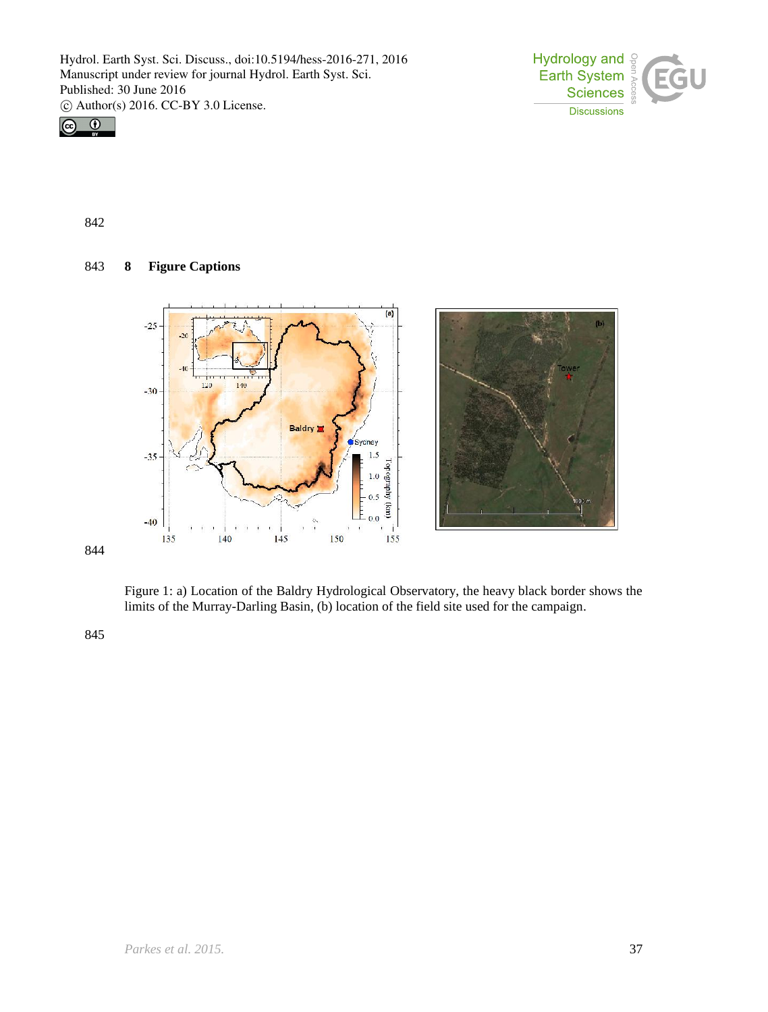



842

# 843 **8 Figure Captions**



Figure 1: a) Location of the Baldry Hydrological Observatory, the heavy black border shows the limits of the Murray-Darling Basin, (b) location of the field site used for the campaign.

845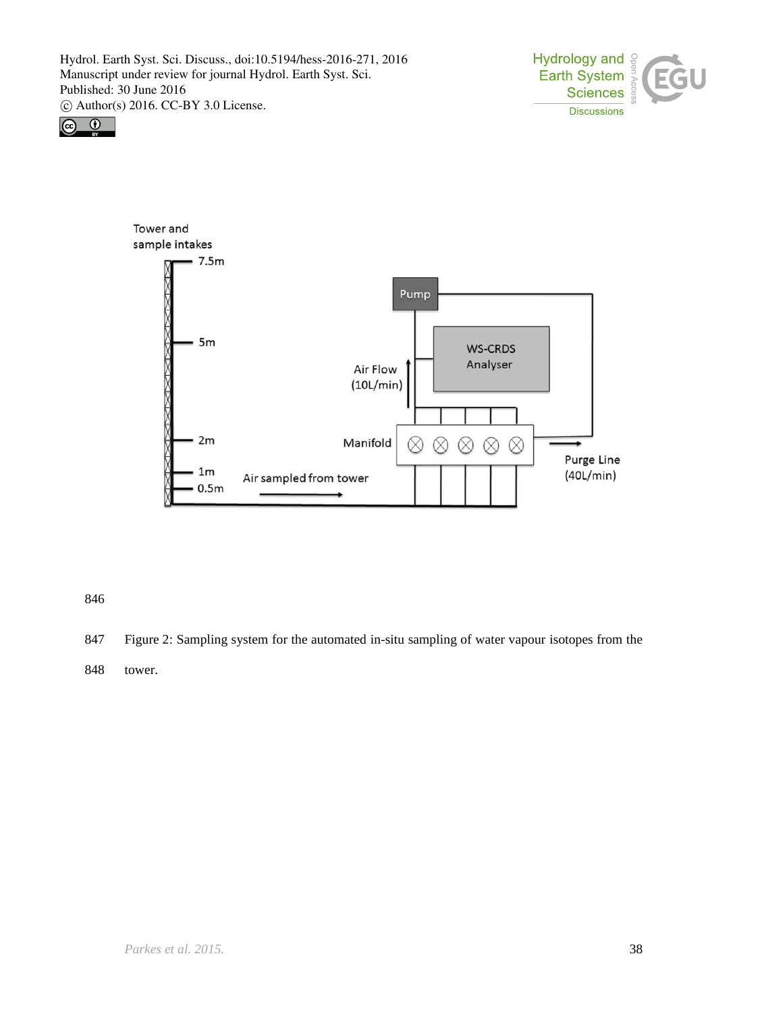





846

847 Figure 2: Sampling system for the automated in-situ sampling of water vapour isotopes from the

848 tower.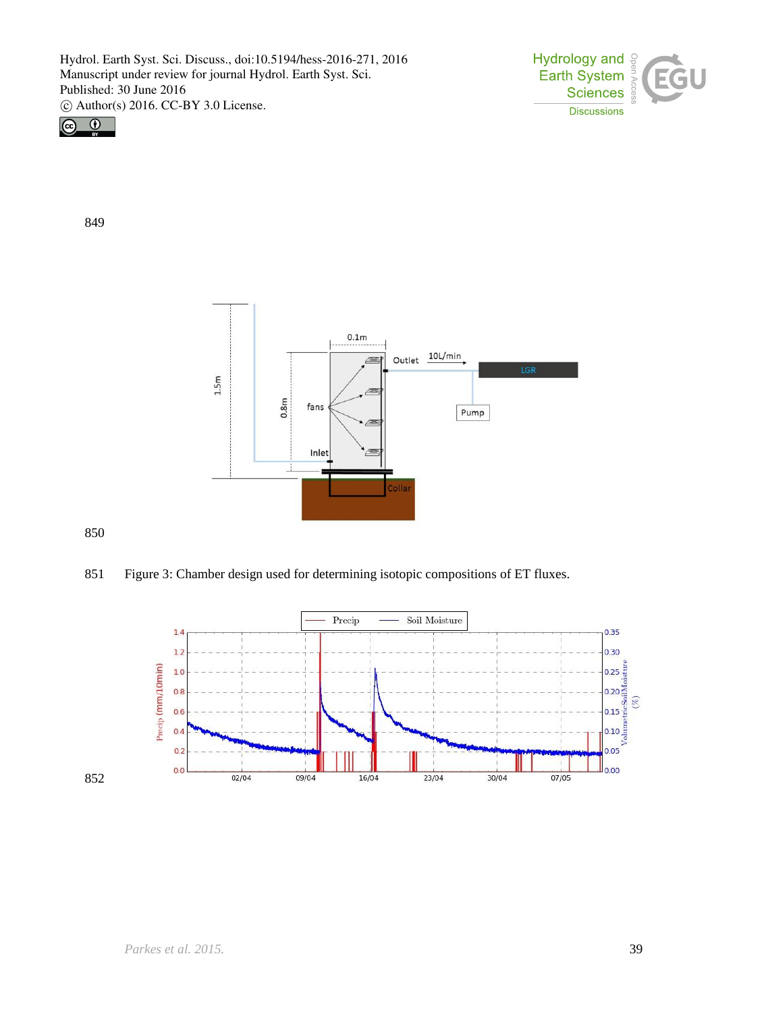



849



851 Figure 3: Chamber design used for determining isotopic compositions of ET fluxes.

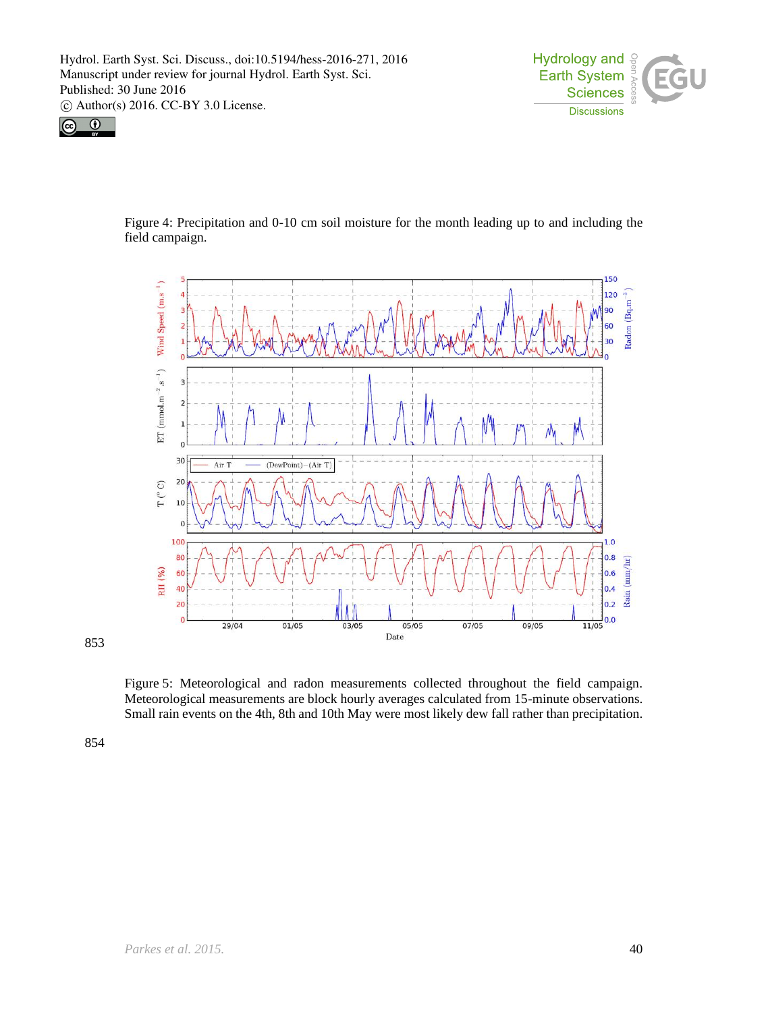



Figure 4: Precipitation and 0-10 cm soil moisture for the month leading up to and including the field campaign.



853

Figure 5: Meteorological and radon measurements collected throughout the field campaign. Meteorological measurements are block hourly averages calculated from 15-minute observations. Small rain events on the 4th, 8th and 10th May were most likely dew fall rather than precipitation.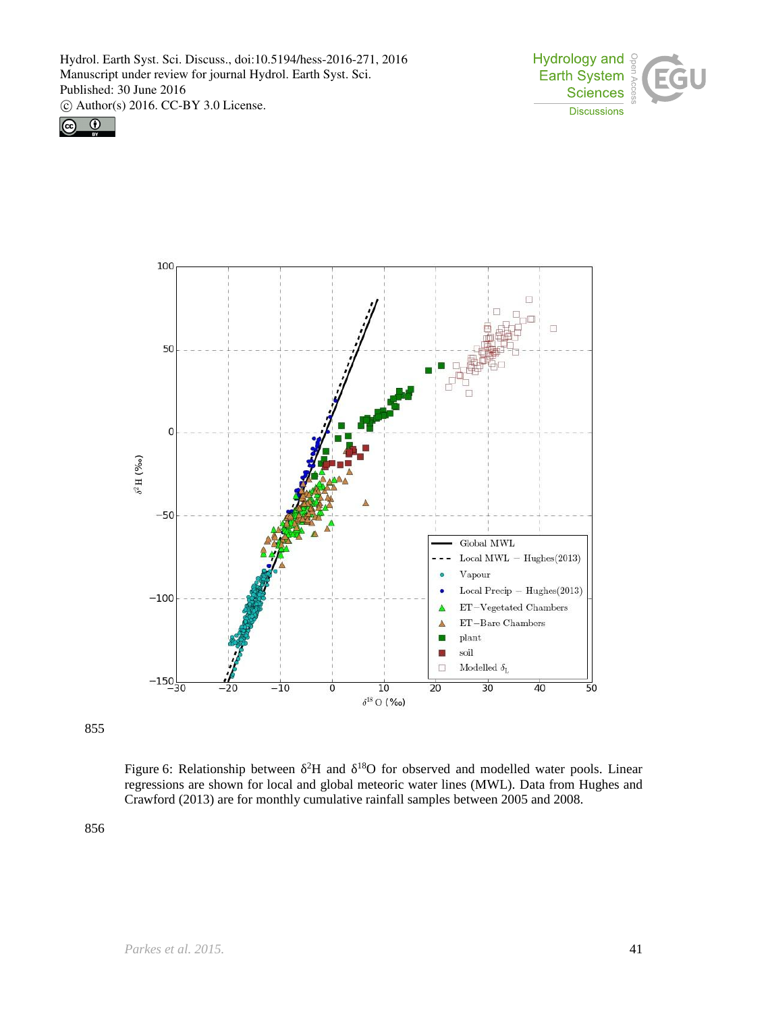





855

Figure 6: Relationship between  ${}^{2}H$  and  ${}^{18}O$  for observed and modelled water pools. Linear regressions are shown for local and global meteoric water lines (MWL). Data from Hughes and Crawford (2013) are for monthly cumulative rainfall samples between 2005 and 2008.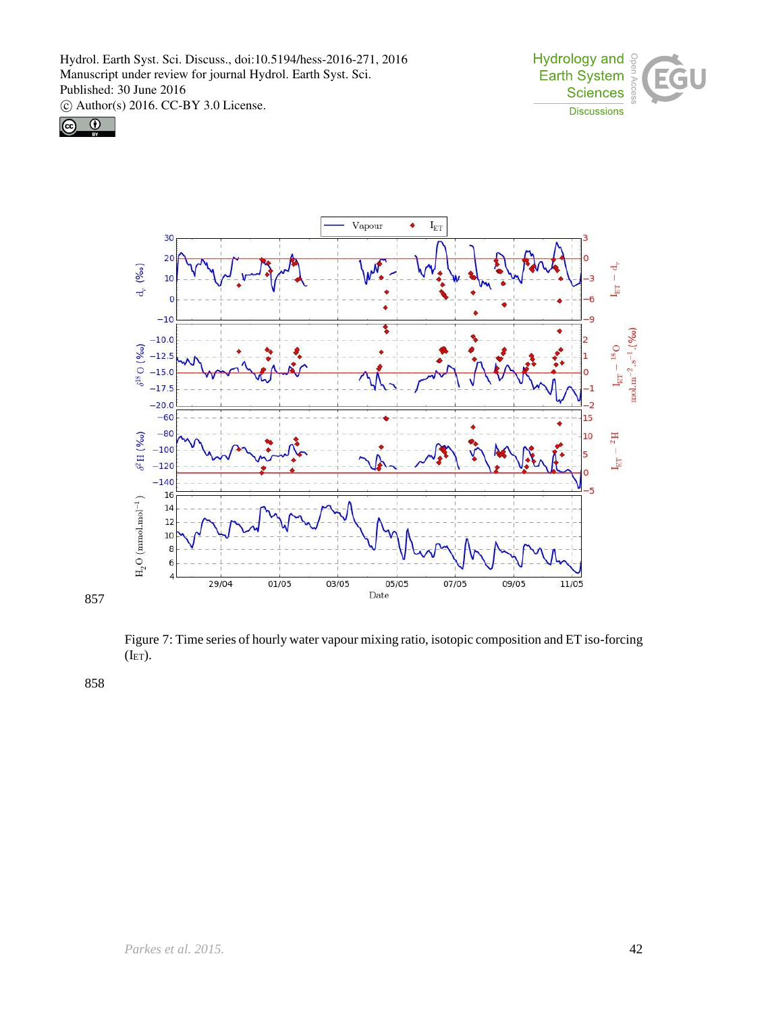





Figure 7: Time series of hourly water vapour mixing ratio, isotopic composition and ET iso-forcing  $(IET).$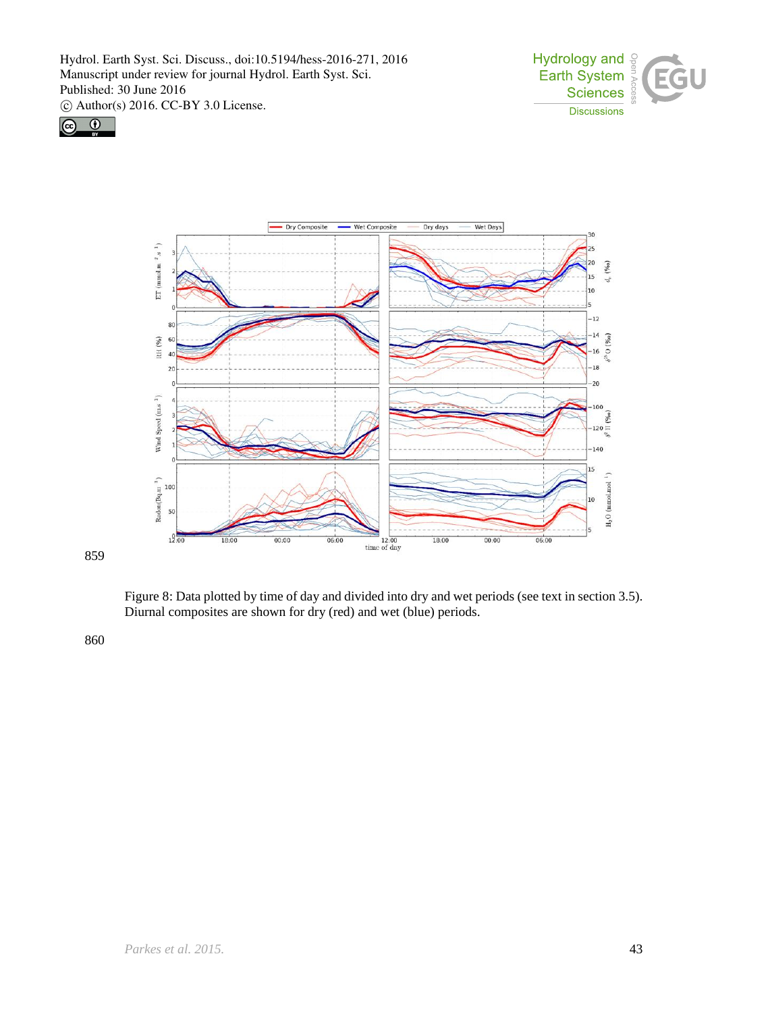





859

Figure 8: Data plotted by time of day and divided into dry and wet periods (see text in section 3.5). Diurnal composites are shown for dry (red) and wet (blue) periods.